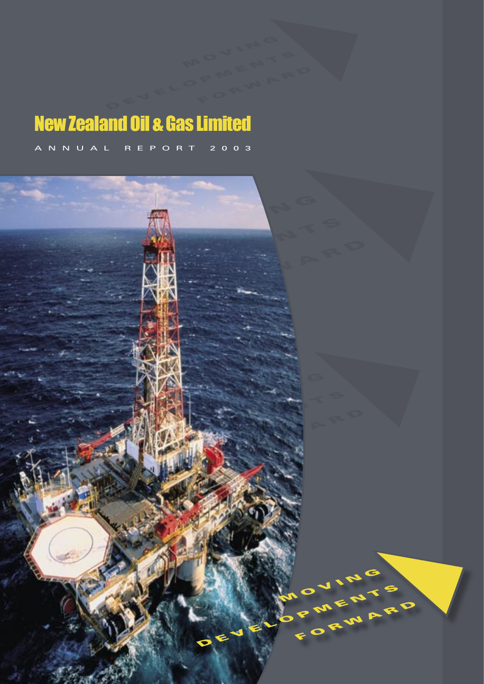# New Zealand Oil & Gas Limited

A N N U A L R E P O R T 2 0 0 3

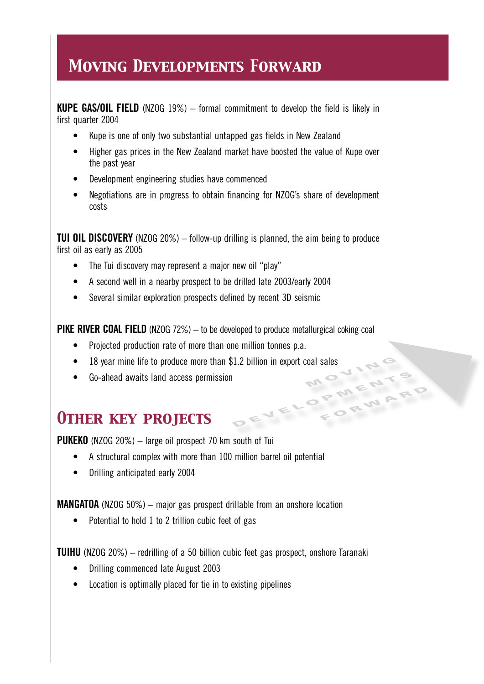## *Moving Developments Forward*

**KUPE GAS/OIL FIELD** (NZOG 19%) – formal commitment to develop the field is likely in first quarter 2004

- Kupe is one of only two substantial untapped gas fields in New Zealand
- Higher gas prices in the New Zealand market have boosted the value of Kupe over the past year
- Development engineering studies have commenced
- Negotiations are in progress to obtain financing for NZOG's share of development costs

**TUI OIL DISCOVERY** (NZOG 20%) – follow-up drilling is planned, the aim being to produce first oil as early as 2005

- The Tui discovery may represent a major new oil "play"
- A second well in a nearby prospect to be drilled late 2003/early 2004
- Several similar exploration prospects defined by recent 3D seismic

**PIKE RIVER COAL FIELD** (NZOG 72%) – to be developed to produce metallurgical coking coal

FORWARD

- Projected production rate of more than one million tonnes p.a.
- 18 year mine life to produce more than \$1.2 billion in export coal sales<br>• Go-ahead awaits land access permission
	- DEVELOPMENTS • Go-ahead awaits land access permission

## *Other key projects*

**PUKEKO** (NZOG 20%) – large oil prospect 70 km south of Tui

- A structural complex with more than 100 million barrel oil potential
- Drilling anticipated early 2004

**MANGATOA** (NZOG 50%) – major gas prospect drillable from an onshore location

• Potential to hold 1 to 2 trillion cubic feet of gas

**TUIHU** (NZOG 20%) – redrilling of a 50 billion cubic feet gas prospect, onshore Taranaki

- Drilling commenced late August 2003
- Location is optimally placed for tie in to existing pipelines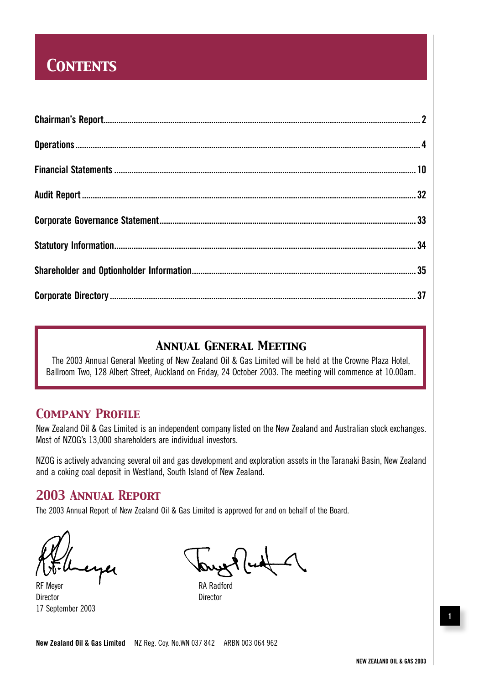## *Contents*

### *Annual General Meeting*

The 2003 Annual General Meeting of New Zealand Oil & Gas Limited will be held at the Crowne Plaza Hotel, Ballroom Two, 128 Albert Street, Auckland on Friday, 24 October 2003. The meeting will commence at 10.00am.

### *Company Profile*

New Zealand Oil & Gas Limited is an independent company listed on the New Zealand and Australian stock exchanges. Most of NZOG's 13,000 shareholders are individual investors.

NZOG is actively advancing several oil and gas development and exploration assets in the Taranaki Basin, New Zealand and a coking coal deposit in Westland, South Island of New Zealand.

### *2003 Annual Report*

The 2003 Annual Report of New Zealand Oil & Gas Limited is approved for and on behalf of the Board.

RF Meyer **RA** Radford Director **Director** Director 17 September 2003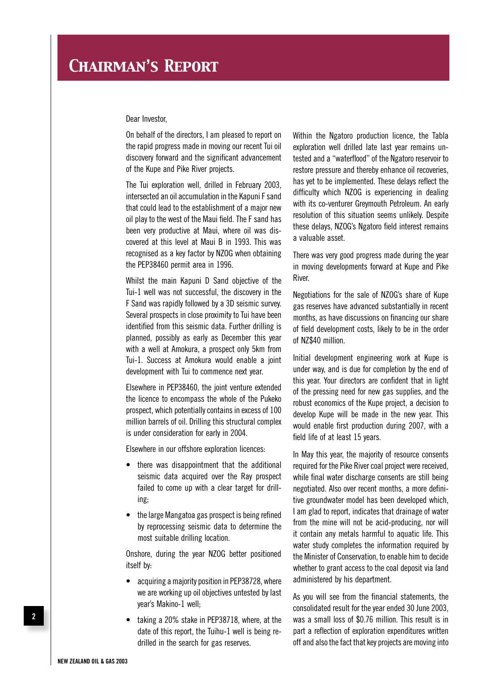Dear Investor,

On behalf of the directors, I am pleased to report on the rapid progress made in moving our recent Tui oil discovery forward and the significant advancement of the Kupe and Pike River projects.

The Tui exploration well, drilled in February 2003, intersected an oil accumulation in the Kapuni F sand that could lead to the establishment of a major new oil play to the west of the Maui field. The F sand has been very productive at Maui, where oil was discovered at this level at Maui B in 1993. This was recognised as a key factor by NZOG when obtaining the PEP38460 permit area in 1996.

Whilst the main Kapuni D Sand objective of the Tui-1 well was not successful, the discovery in the F Sand was rapidly followed by a 3D seismic survey. Several prospects in close proximity to Tui have been identified from this seismic data. Further drilling is planned, possibly as early as December this year with a well at Amokura, a prospect only 5km from Tui-1. Success at Amokura would enable a joint development with Tui to commence next year.

Elsewhere in PEP38460, the joint venture extended the licence to encompass the whole of the Pukeko prospect, which potentially contains in excess of 100 million barrels of oil. Drilling this structural complex is under consideration for early in 2004.

Elsewhere in our offshore exploration licences:

- there was disappointment that the additional seismic data acquired over the Ray prospect failed to come up with a clear target for drilling;
- the large Mangatoa gas prospect is being refined by reprocessing seismic data to determine the most suitable drilling location.

Onshore, during the year NZOG better positioned itself by:

- acquiring a majority position in PEP38728, where we are working up oil objectives untested by last year's Makino-1 well;
- taking a 20% stake in PEP38718, where, at the date of this report, the Tuihu-1 well is being redrilled in the search for gas reserves.

Within the Ngatoro production licence, the Tabla exploration well drilled late last year remains untested and a "waterflood" of the Ngatoro reservoir to restore pressure and thereby enhance oil recoveries, has yet to be implemented. These delays reflect the difficulty which NZOG is experiencing in dealing with its co-venturer Greymouth Petroleum. An early resolution of this situation seems unlikely. Despite these delays, NZOG's Ngatoro field interest remains a valuable asset.

There was very good progress made during the year in moving developments forward at Kupe and Pike River.

Negotiations for the sale of NZOG's share of Kupe gas reserves have advanced substantially in recent months, as have discussions on financing our share of field development costs, likely to be in the order of NZ\$40 million.

Initial development engineering work at Kupe is under way, and is due for completion by the end of this year. Your directors are confident that in light of the pressing need for new gas supplies, and the robust economics of the Kupe project, a decision to develop Kupe will be made in the new year. This would enable first production during 2007, with a field life of at least 15 years.

In May this year, the majority of resource consents required for the Pike River coal project were received, while final water discharge consents are still being negotiated. Also over recent months, a more definitive groundwater model has been developed which, I am glad to report, indicates that drainage of water from the mine will not be acid-producing, nor will it contain any metals harmful to aquatic life. This water study completes the information required by the Minister of Conservation, to enable him to decide whether to grant access to the coal deposit via land administered by his department.

As you will see from the financial statements, the consolidated result for the year ended 30 June 2003, was a small loss of \$0.76 million. This result is in part a reflection of exploration expenditures written off and also the fact that key projects are moving into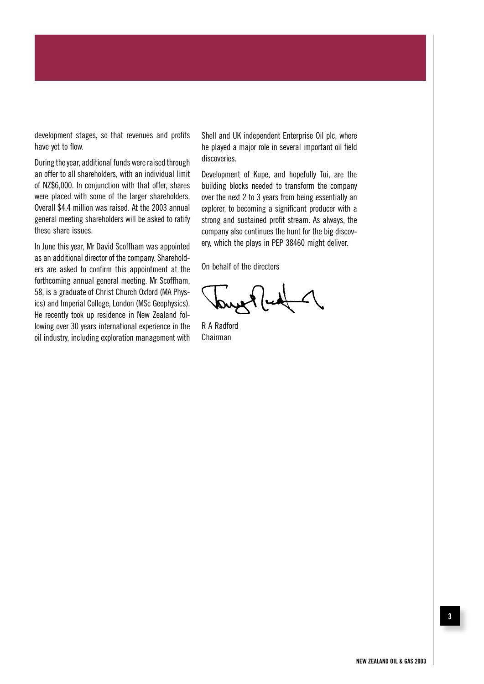development stages, so that revenues and profits have yet to flow.

During the year, additional funds were raised through an offer to all shareholders, with an individual limit of NZ\$6,000. In conjunction with that offer, shares were placed with some of the larger shareholders. Overall \$4.4 million was raised. At the 2003 annual general meeting shareholders will be asked to ratify these share issues.

In June this year, Mr David Scoffham was appointed as an additional director of the company. Shareholders are asked to confirm this appointment at the forthcoming annual general meeting. Mr Scoffham, 58, is a graduate of Christ Church Oxford (MA Physics) and Imperial College, London (MSc Geophysics). He recently took up residence in New Zealand following over 30 years international experience in the oil industry, including exploration management with

Shell and UK independent Enterprise Oil plc, where he played a major role in several important oil field discoveries.

Development of Kupe, and hopefully Tui, are the building blocks needed to transform the company over the next 2 to 3 years from being essentially an explorer, to becoming a significant producer with a strong and sustained profit stream. As always, the company also continues the hunt for the big discovery, which the plays in PEP 38460 might deliver.

On behalf of the directors

rue lud

R A Radford Chairman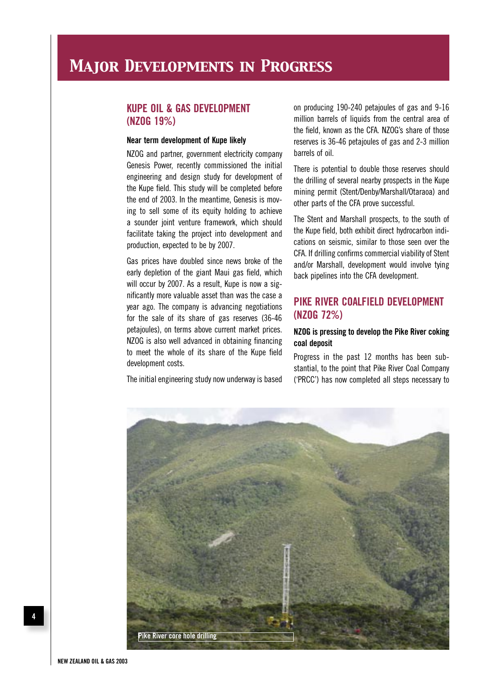### **KUPE OIL & GAS DEVELOPMENT (NZOG 19%)**

#### **Near term development of Kupe likely**

NZOG and partner, government electricity company Genesis Power, recently commissioned the initial engineering and design study for development of the Kupe field. This study will be completed before the end of 2003. In the meantime, Genesis is moving to sell some of its equity holding to achieve a sounder joint venture framework, which should facilitate taking the project into development and production, expected to be by 2007.

Gas prices have doubled since news broke of the early depletion of the giant Maui gas field, which will occur by 2007. As a result, Kupe is now a significantly more valuable asset than was the case a year ago. The company is advancing negotiations for the sale of its share of gas reserves (36-46 petajoules), on terms above current market prices. NZOG is also well advanced in obtaining financing to meet the whole of its share of the Kupe field development costs.

The initial engineering study now underway is based

on producing 190-240 petajoules of gas and 9-16 million barrels of liquids from the central area of the field, known as the CFA. NZOG's share of those reserves is 36-46 petajoules of gas and 2-3 million barrels of oil.

There is potential to double those reserves should the drilling of several nearby prospects in the Kupe mining permit (Stent/Denby/Marshall/Otaraoa) and other parts of the CFA prove successful.

The Stent and Marshall prospects, to the south of the Kupe field, both exhibit direct hydrocarbon indications on seismic, similar to those seen over the CFA. If drilling confirms commercial viability of Stent and/or Marshall, development would involve tying back pipelines into the CFA development.

### **PIKE RIVER COALFIELD DEVELOPMENT (NZOG 72%)**

### **NZOG is pressing to develop the Pike River coking coal deposit**

Progress in the past 12 months has been substantial, to the point that Pike River Coal Company ('PRCC') has now completed all steps necessary to

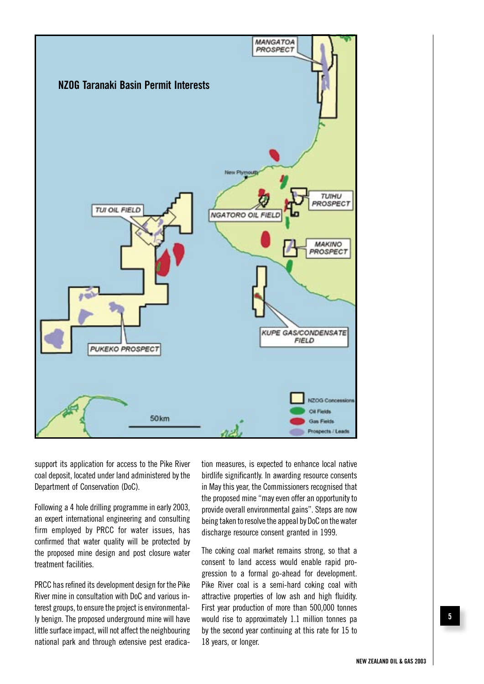

support its application for access to the Pike River coal deposit, located under land administered by the Department of Conservation (DoC).

Following a 4 hole drilling programme in early 2003, an expert international engineering and consulting firm employed by PRCC for water issues, has confirmed that water quality will be protected by the proposed mine design and post closure water treatment facilities.

PRCC has refined its development design for the Pike River mine in consultation with DoC and various interest groups, to ensure the project is environmentally benign. The proposed underground mine will have little surface impact, will not affect the neighbouring national park and through extensive pest eradication measures, is expected to enhance local native birdlife significantly. In awarding resource consents in May this year, the Commissioners recognised that the proposed mine "may even offer an opportunity to provide overall environmental gains". Steps are now being taken to resolve the appeal by DoC on the water discharge resource consent granted in 1999.

The coking coal market remains strong, so that a consent to land access would enable rapid progression to a formal go-ahead for development. Pike River coal is a semi-hard coking coal with attractive properties of low ash and high fluidity. First year production of more than 500,000 tonnes would rise to approximately 1.1 million tonnes pa by the second year continuing at this rate for 15 to 18 years, or longer.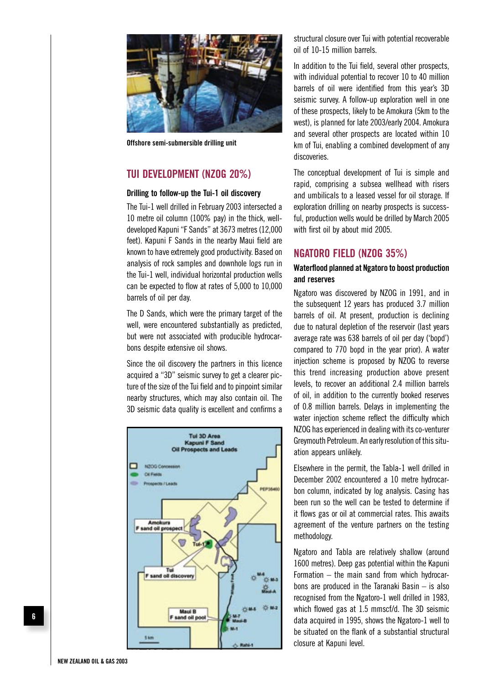

**Offshore semi-submersible drilling unit**

### **TUI DEVELOPMENT (NZOG 20%)**

#### **Drilling to follow-up the Tui-1 oil discovery**

The Tui-1 well drilled in February 2003 intersected a 10 metre oil column (100% pay) in the thick, welldeveloped Kapuni "F Sands" at 3673 metres (12,000 feet). Kapuni F Sands in the nearby Maui field are known to have extremely good productivity. Based on analysis of rock samples and downhole logs run in the Tui-1 well, individual horizontal production wells can be expected to flow at rates of 5,000 to 10,000 barrels of oil per day.

The D Sands, which were the primary target of the well, were encountered substantially as predicted, but were not associated with producible hydrocarbons despite extensive oil shows.

Since the oil discovery the partners in this licence acquired a "3D" seismic survey to get a clearer picture of the size of the Tui field and to pinpoint similar nearby structures, which may also contain oil. The 3D seismic data quality is excellent and confirms a



structural closure over Tui with potential recoverable oil of 10-15 million barrels.

In addition to the Tui field, several other prospects, with individual potential to recover 10 to 40 million barrels of oil were identified from this year's 3D seismic survey. A follow-up exploration well in one of these prospects, likely to be Amokura (5km to the west), is planned for late 2003/early 2004. Amokura and several other prospects are located within 10 km of Tui, enabling a combined development of any discoveries.

The conceptual development of Tui is simple and rapid, comprising a subsea wellhead with risers and umbilicals to a leased vessel for oil storage. If exploration drilling on nearby prospects is successful, production wells would be drilled by March 2005 with first oil by about mid 2005.

### **NGATORO FIELD (NZOG 35%)**

#### **Waterflood planned at Ngatoro to boost production and reserves**

Ngatoro was discovered by NZOG in 1991, and in the subsequent 12 years has produced 3.7 million barrels of oil. At present, production is declining due to natural depletion of the reservoir (last years average rate was 638 barrels of oil per day ('bopd') compared to 770 bopd in the year prior). A water injection scheme is proposed by NZOG to reverse this trend increasing production above present levels, to recover an additional 2.4 million barrels of oil, in addition to the currently booked reserves of 0.8 million barrels. Delays in implementing the water injection scheme reflect the difficulty which NZOG has experienced in dealing with its co-venturer Greymouth Petroleum. An early resolution of this situation appears unlikely.

Elsewhere in the permit, the Tabla-1 well drilled in December 2002 encountered a 10 metre hydrocarbon column, indicated by log analysis. Casing has been run so the well can be tested to determine if it flows gas or oil at commercial rates. This awaits agreement of the venture partners on the testing methodology.

Ngatoro and Tabla are relatively shallow (around 1600 metres). Deep gas potential within the Kapuni Formation – the main sand from which hydrocarbons are produced in the Taranaki Basin – is also recognised from the Ngatoro-1 well drilled in 1983, which flowed gas at 1.5 mmscf/d. The 3D seismic data acquired in 1995, shows the Ngatoro-1 well to be situated on the flank of a substantial structural closure at Kapuni level.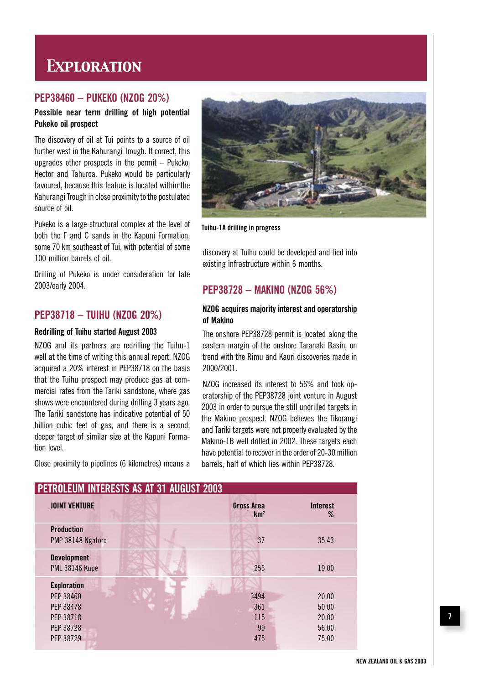## *Exploration*

### **PEP38460 – PUKEKO (NZOG 20%)**

### **Possible near term drilling of high potential Pukeko oil prospect**

The discovery of oil at Tui points to a source of oil further west in the Kahurangi Trough. If correct, this upgrades other prospects in the permit  $-$  Pukeko, Hector and Tahuroa. Pukeko would be particularly favoured, because this feature is located within the Kahurangi Trough in close proximity to the postulated source of oil.

Pukeko is a large structural complex at the level of both the F and C sands in the Kapuni Formation, some 70 km southeast of Tui, with potential of some 100 million barrels of oil.

Drilling of Pukeko is under consideration for late 2003/early 2004.

### **PEP38718 – TUIHU (NZOG 20%)**

#### **Redrilling of Tuihu started August 2003**

NZOG and its partners are redrilling the Tuihu-1 well at the time of writing this annual report. NZOG acquired a 20% interest in PEP38718 on the basis that the Tuihu prospect may produce gas at commercial rates from the Tariki sandstone, where gas shows were encountered during drilling 3 years ago. The Tariki sandstone has indicative potential of 50 billion cubic feet of gas, and there is a second, deeper target of similar size at the Kapuni Formation level.

Close proximity to pipelines (6 kilometres) means a



**Tuihu-1A drilling in progress**

discovery at Tuihu could be developed and tied into existing infrastructure within 6 months.

### **PEP38728 – MAKINO (NZOG 56%)**

### **NZOG acquires majority interest and operatorship of Makino**

The onshore PEP38728 permit is located along the eastern margin of the onshore Taranaki Basin, on trend with the Rimu and Kauri discoveries made in 2000/2001.

NZOG increased its interest to 56% and took operatorship of the PEP38728 joint venture in August 2003 in order to pursue the still undrilled targets in the Makino prospect. NZOG believes the Tikorangi and Tariki targets were not properly evaluated by the Makino-1B well drilled in 2002. These targets each have potential to recover in the order of 20-30 million barrels, half of which lies within PEP38728.

| PEIKULEUM INIEKESIS AS AI 31 AUGUSI ZUU3                                            |                                      |                                           |
|-------------------------------------------------------------------------------------|--------------------------------------|-------------------------------------------|
| <b>JOINT VENTURE</b>                                                                | <b>Gross Area</b><br>km <sup>2</sup> | <b>Interest</b><br>%                      |
| <b>Production</b><br>PMP 38148 Ngatoro                                              | 37                                   | 35.43                                     |
| <b>Development</b><br><b>PML 38146 Kupe</b>                                         | 256                                  | 19.00                                     |
| <b>Exploration</b><br>PEP 38460<br>PEP 38478<br>PEP 38718<br>PEP 38728<br>PEP 38729 | 3494<br>361<br>115<br>99<br>475      | 20.00<br>50.00<br>20.00<br>56.00<br>75.00 |

### **PETROLEUM INTERESTS AS AT 31 AUGUST 2003**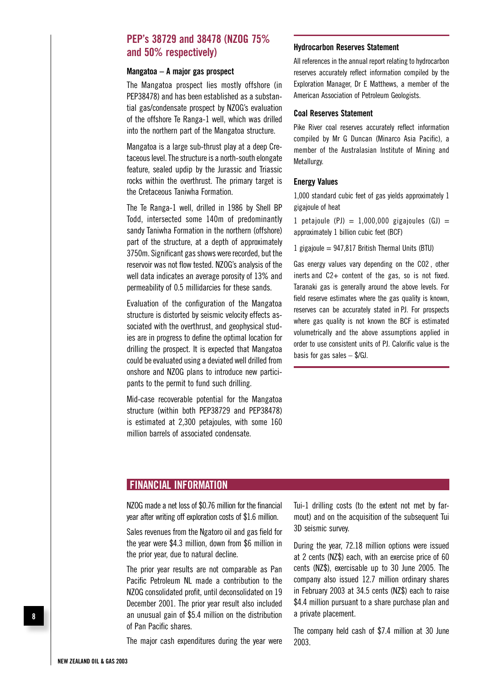### **PEP's 38729 and 38478 (NZOG 75% and 50% respectively)**

#### **Mangatoa – A major gas prospect**

The Mangatoa prospect lies mostly offshore (in PEP38478) and has been established as a substantial gas/condensate prospect by NZOG's evaluation of the offshore Te Ranga-1 well, which was drilled into the northern part of the Mangatoa structure.

Mangatoa is a large sub-thrust play at a deep Cretaceous level. The structure is a north-south elongate feature, sealed updip by the Jurassic and Triassic rocks within the overthrust. The primary target is the Cretaceous Taniwha Formation.

The Te Ranga-1 well, drilled in 1986 by Shell BP Todd, intersected some 140m of predominantly sandy Taniwha Formation in the northern (offshore) part of the structure, at a depth of approximately 3750m. Significant gas shows were recorded, but the reservoir was not flow tested. NZOG's analysis of the well data indicates an average porosity of 13% and permeability of 0.5 millidarcies for these sands.

Evaluation of the configuration of the Mangatoa structure is distorted by seismic velocity effects associated with the overthrust, and geophysical studies are in progress to define the optimal location for drilling the prospect. It is expected that Mangatoa could be evaluated using a deviated well drilled from onshore and NZOG plans to introduce new participants to the permit to fund such drilling.

Mid-case recoverable potential for the Mangatoa structure (within both PEP38729 and PEP38478) is estimated at 2,300 petajoules, with some 160 million barrels of associated condensate.

#### **Hydrocarbon Reserves Statement**

All references in the annual report relating to hydrocarbon reserves accurately reflect information compiled by the Exploration Manager, Dr E Matthews, a member of the American Association of Petroleum Geologists.

#### **Coal Reserves Statement**

Pike River coal reserves accurately reflect information compiled by Mr G Duncan (Minarco Asia Pacific), a member of the Australasian Institute of Mining and Metallurgy.

#### **Energy Values**

1,000 standard cubic feet of gas yields approximately 1 gigajoule of heat

1 petajoule (PJ) =  $1,000,000$  gigajoules (GJ) = approximately 1 billion cubic feet (BCF)

1 gigajoule =  $947,817$  British Thermal Units (BTU)

Gas energy values vary depending on the CO2 , other inerts and C2+ content of the gas, so is not fixed. Taranaki gas is generally around the above levels. For field reserve estimates where the gas quality is known, reserves can be accurately stated in PJ. For prospects where gas quality is not known the BCF is estimated volumetrically and the above assumptions applied in order to use consistent units of PJ. Calorific value is the basis for gas sales  $-$  \$/GJ.

### **FINANCIAL INFORMATION**

NZOG made a net loss of \$0.76 million for the financial year after writing off exploration costs of \$1.6 million.

Sales revenues from the Ngatoro oil and gas field for the year were \$4.3 million, down from \$6 million in the prior year, due to natural decline.

The prior year results are not comparable as Pan Pacific Petroleum NL made a contribution to the NZOG consolidated profit, until deconsolidated on 19 December 2001. The prior year result also included an unusual gain of \$5.4 million on the distribution of Pan Pacific shares.

The major cash expenditures during the year were

Tui-1 drilling costs (to the extent not met by farmout) and on the acquisition of the subsequent Tui 3D seismic survey.

During the year, 72.18 million options were issued at 2 cents (NZ\$) each, with an exercise price of 60 cents (NZ\$), exercisable up to 30 June 2005. The company also issued 12.7 million ordinary shares in February 2003 at 34.5 cents (NZ\$) each to raise \$4.4 million pursuant to a share purchase plan and a private placement.

The company held cash of \$7.4 million at 30 June 2003.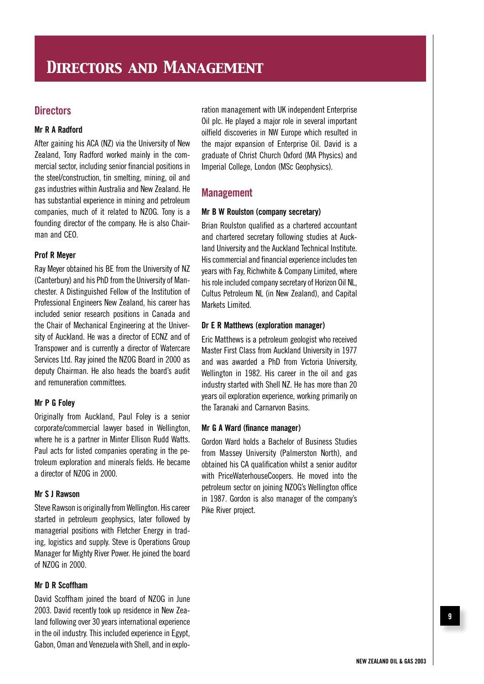### **Directors**

### **Mr R A Radford**

After gaining his ACA (NZ) via the University of New Zealand, Tony Radford worked mainly in the commercial sector, including senior financial positions in the steel/construction, tin smelting, mining, oil and gas industries within Australia and New Zealand. He has substantial experience in mining and petroleum companies, much of it related to NZOG. Tony is a founding director of the company. He is also Chairman and CEO.

#### **Prof R Meyer**

Ray Meyer obtained his BE from the University of NZ (Canterbury) and his PhD from the University of Manchester. A Distinguished Fellow of the Institution of Professional Engineers New Zealand, his career has included senior research positions in Canada and the Chair of Mechanical Engineering at the University of Auckland. He was a director of ECNZ and of Transpower and is currently a director of Watercare Services Ltd. Ray joined the NZOG Board in 2000 as deputy Chairman. He also heads the board's audit and remuneration committees.

#### **Mr P G Foley**

Originally from Auckland, Paul Foley is a senior corporate/commercial lawyer based in Wellington, where he is a partner in Minter Ellison Rudd Watts. Paul acts for listed companies operating in the petroleum exploration and minerals fields. He became a director of NZOG in 2000.

#### **Mr S J Rawson**

Steve Rawson is originally from Wellington. His career started in petroleum geophysics, later followed by managerial positions with Fletcher Energy in trading, logistics and supply. Steve is Operations Group Manager for Mighty River Power. He joined the board of NZOG in 2000.

#### **Mr D R Scoffham**

David Scoffham joined the board of NZOG in June 2003. David recently took up residence in New Zealand following over 30 years international experience in the oil industry. This included experience in Egypt, Gabon, Oman and Venezuela with Shell, and in exploration management with UK independent Enterprise Oil plc. He played a major role in several important oilfield discoveries in NW Europe which resulted in the major expansion of Enterprise Oil. David is a graduate of Christ Church Oxford (MA Physics) and Imperial College, London (MSc Geophysics).

### **Management**

#### **Mr B W Roulston (company secretary)**

Brian Roulston qualified as a chartered accountant and chartered secretary following studies at Auckland University and the Auckland Technical Institute. His commercial and financial experience includes ten years with Fay, Richwhite & Company Limited, where his role included company secretary of Horizon Oil NL, Cultus Petroleum NL (in New Zealand), and Capital Markets Limited.

#### **Dr E R Matthews (exploration manager)**

Eric Matthews is a petroleum geologist who received Master First Class from Auckland University in 1977 and was awarded a PhD from Victoria University, Wellington in 1982. His career in the oil and gas industry started with Shell NZ. He has more than 20 years oil exploration experience, working primarily on the Taranaki and Carnarvon Basins.

#### **Mr G A Ward (finance manager)**

Gordon Ward holds a Bachelor of Business Studies from Massey University (Palmerston North), and obtained his CA qualification whilst a senior auditor with PriceWaterhouseCoopers. He moved into the petroleum sector on joining NZOG's Wellington office in 1987. Gordon is also manager of the company's Pike River project.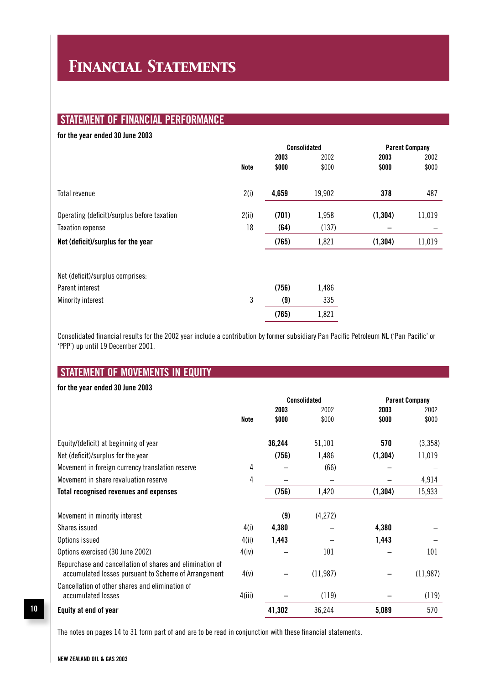## *Financial Statements*

### **STATEMENT OF FINANCIAL PERFORMANCE**

### **for the year ended 30 June 2003**

|                                             |             |       | <b>Consolidated</b> |          | <b>Parent Company</b> |  |
|---------------------------------------------|-------------|-------|---------------------|----------|-----------------------|--|
|                                             |             | 2003  | 2002                | 2003     | 2002                  |  |
|                                             | <b>Note</b> | \$000 | \$000               | \$000    | \$000                 |  |
| Total revenue                               | 2(i)        | 4,659 | 19,902              | 378      | 487                   |  |
| Operating (deficit)/surplus before taxation | 2(ii)       | (701) | 1,958               | (1, 304) | 11,019                |  |
| <b>Taxation expense</b>                     | 18          | (64)  | (137)               |          |                       |  |
| Net (deficit)/surplus for the year          |             | (765) | 1,821               | (1, 304) | 11,019                |  |
|                                             |             |       |                     |          |                       |  |
| Net (deficit)/surplus comprises:            |             |       |                     |          |                       |  |
| Parent interest                             |             | (756) | 1,486               |          |                       |  |
| Minority interest                           | 3           | (9)   | 335                 |          |                       |  |
|                                             |             | (765) | 1,821               |          |                       |  |

Consolidated financial results for the 2002 year include a contribution by former subsidiary Pan Pacific Petroleum NL ('Pan Pacific' or 'PPP') up until 19 December 2001.

### **STATEMENT OF MOVEMENTS IN EQUITY**

### **for the year ended 30 June 2003**

|                                                                                                                  |        |        | Consolidated | <b>Parent Company</b> |           |
|------------------------------------------------------------------------------------------------------------------|--------|--------|--------------|-----------------------|-----------|
|                                                                                                                  |        | 2003   | 2002         | 2003                  | 2002      |
|                                                                                                                  | Note   | \$000  | \$000        | \$000                 | \$000     |
| Equity/(deficit) at beginning of year                                                                            |        | 36,244 | 51,101       | 570                   | (3,358)   |
| Net (deficit)/surplus for the year                                                                               |        | (756)  | 1,486        | (1, 304)              | 11,019    |
| Movement in foreign currency translation reserve                                                                 | 4      |        | (66)         |                       |           |
| Movement in share revaluation reserve                                                                            | 4      |        |              |                       | 4,914     |
| <b>Total recognised revenues and expenses</b>                                                                    |        | (756)  | 1,420        | (1, 304)              | 15,933    |
| Movement in minority interest                                                                                    |        | (9)    | (4,272)      |                       |           |
| Shares issued                                                                                                    | 4(i)   | 4,380  |              | 4,380                 |           |
| Options issued                                                                                                   | 4(ii)  | 1,443  |              | 1,443                 |           |
| Options exercised (30 June 2002)                                                                                 | 4(iv)  |        | 101          |                       | 101       |
| Repurchase and cancellation of shares and elimination of<br>accumulated losses pursuant to Scheme of Arrangement | 4(v)   |        | (11, 987)    |                       | (11, 987) |
| Cancellation of other shares and elimination of<br>accumulated losses                                            | 4(iii) |        | (119)        |                       | (119)     |
| Equity at end of year                                                                                            |        | 41,302 | 36,244       | 5,089                 | 570       |

The notes on pages 14 to 31 form part of and are to be read in conjunction with these financial statements.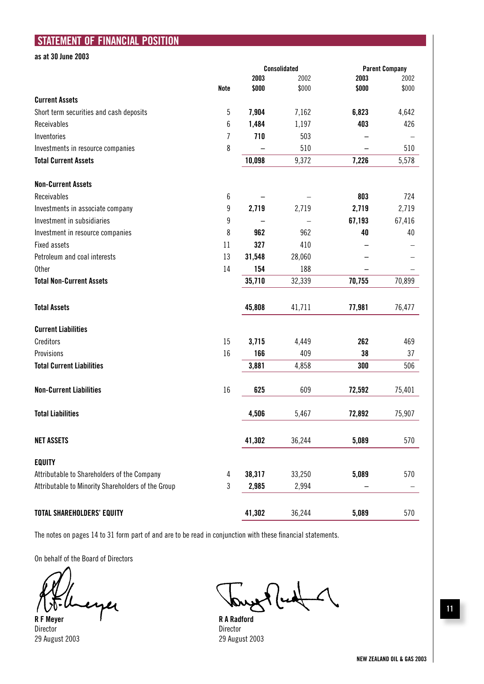### **STATEMENT OF FINANCIAL POSITION**

**as at 30 June 2003**

|                                                    |             |        | <b>Consolidated</b> | <b>Parent Company</b> |        |
|----------------------------------------------------|-------------|--------|---------------------|-----------------------|--------|
|                                                    |             | 2003   | 2002                | 2003                  | 2002   |
|                                                    | <b>Note</b> | \$000  | \$000               | \$000                 | \$000  |
| <b>Current Assets</b>                              |             |        |                     |                       |        |
| Short term securities and cash deposits            | 5           | 7,904  | 7,162               | 6,823                 | 4,642  |
| Receivables                                        | 6           | 1,484  | 1,197               | 403                   | 426    |
| Inventories                                        | 7           | 710    | 503                 |                       |        |
| Investments in resource companies                  | 8           |        | 510                 |                       | 510    |
| <b>Total Current Assets</b>                        |             | 10,098 | 9,372               | 7,226                 | 5,578  |
| <b>Non-Current Assets</b>                          |             |        |                     |                       |        |
| Receivables                                        | 6           |        |                     | 803                   | 724    |
| Investments in associate company                   | 9           | 2,719  | 2,719               | 2,719                 | 2,719  |
| Investment in subsidiaries                         | 9           |        |                     | 67,193                | 67,416 |
| Investment in resource companies                   | 8           | 962    | 962                 | 40                    | 40     |
| <b>Fixed assets</b>                                | 11          | 327    | 410                 |                       |        |
| Petroleum and coal interests                       | 13          | 31,548 | 28,060              |                       |        |
| <b>Other</b>                                       | 14          | 154    | 188                 |                       |        |
| <b>Total Non-Current Assets</b>                    |             | 35,710 | 32,339              | 70,755                | 70,899 |
| <b>Total Assets</b>                                |             | 45,808 | 41,711              | 77,981                | 76,477 |
| <b>Current Liabilities</b>                         |             |        |                     |                       |        |
| Creditors                                          | 15          | 3,715  | 4,449               | 262                   | 469    |
| Provisions                                         | 16          | 166    | 409                 | 38                    | 37     |
| <b>Total Current Liabilities</b>                   |             | 3,881  | 4,858               | 300                   | 506    |
| <b>Non-Current Liabilities</b>                     | 16          | 625    | 609                 | 72,592                | 75,401 |
| <b>Total Liabilities</b>                           |             | 4,506  | 5,467               | 72,892                | 75,907 |
| <b>NET ASSETS</b>                                  |             | 41,302 | 36,244              | 5,089                 | 570    |
| <b>EQUITY</b>                                      |             |        |                     |                       |        |
| Attributable to Shareholders of the Company        | 4           | 38,317 | 33,250              | 5,089                 | 570    |
| Attributable to Minority Shareholders of the Group | 3           | 2,985  | 2,994               |                       |        |
| <b>TOTAL SHAREHOLDERS' EQUITY</b>                  |             | 41,302 | 36,244              | 5,089                 | 570    |

The notes on pages 14 to 31 form part of and are to be read in conjunction with these financial statements.

On behalf of the Board of Directors

eyer

**R F Meyer R** A Radford **R** A Radford **Director** 29 August 2003 29 August 2003

 $\Lambda$ 

Director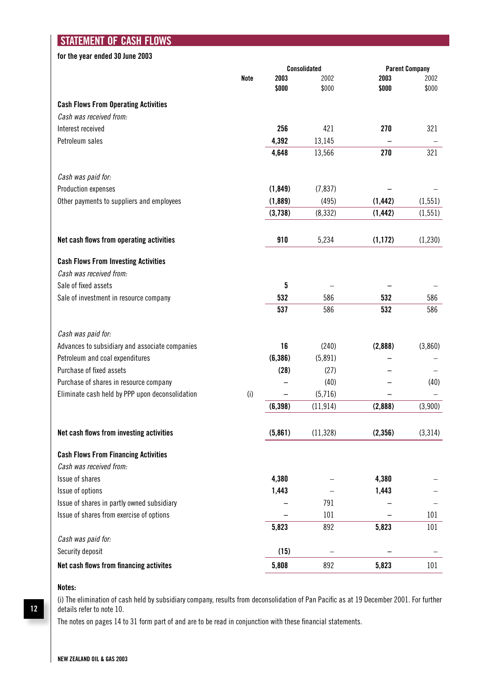### **STATEMENT OF CASH FLOWS**

### **for the year ended 30 June 2003**

|                                                 |             | <b>Consolidated</b> |           |          | <b>Parent Company</b> |
|-------------------------------------------------|-------------|---------------------|-----------|----------|-----------------------|
|                                                 | <b>Note</b> | 2003                | 2002      | 2003     | 2002                  |
|                                                 |             | \$000               | \$000     | \$000    | \$000                 |
| <b>Cash Flows From Operating Activities</b>     |             |                     |           |          |                       |
| Cash was received from:                         |             |                     |           |          |                       |
| Interest received                               |             | 256                 | 421       | 270      | 321                   |
| Petroleum sales                                 |             | 4,392               | 13,145    |          |                       |
|                                                 |             | 4,648               | 13,566    | 270      | 321                   |
| Cash was paid for:                              |             |                     |           |          |                       |
| Production expenses                             |             | (1, 849)            | (7, 837)  |          |                       |
| Other payments to suppliers and employees       |             | (1,889)             | (495)     | (1, 442) | (1, 551)              |
|                                                 |             | (3,738)             | (8, 332)  | (1, 442) | (1, 551)              |
| Net cash flows from operating activities        |             | 910                 | 5,234     | (1, 172) | (1,230)               |
| <b>Cash Flows From Investing Activities</b>     |             |                     |           |          |                       |
| Cash was received from:                         |             |                     |           |          |                       |
| Sale of fixed assets                            |             | 5                   |           |          |                       |
| Sale of investment in resource company          |             | 532                 | 586       | 532      | 586                   |
|                                                 |             | 537                 | 586       | 532      | 586                   |
| Cash was paid for:                              |             |                     |           |          |                       |
| Advances to subsidiary and associate companies  |             | 16                  | (240)     | (2,888)  | (3,860)               |
| Petroleum and coal expenditures                 |             | (6, 386)            | (5,891)   |          |                       |
| Purchase of fixed assets                        |             | (28)                | (27)      |          |                       |
| Purchase of shares in resource company          |             |                     | (40)      |          | (40)                  |
| Eliminate cash held by PPP upon deconsolidation | (i)         |                     | (5,716)   |          |                       |
|                                                 |             | (6, 398)            | (11, 914) | (2,888)  | (3,900)               |
| Net cash flows from investing activities        |             | (5,861)             | (11, 328) | (2, 356) | (3,314)               |
| <b>Cash Flows From Financing Activities</b>     |             |                     |           |          |                       |
| Cash was received from:                         |             |                     |           |          |                       |
| Issue of shares                                 |             | 4,380               |           | 4,380    |                       |
| Issue of options                                |             | 1,443               |           | 1,443    |                       |
| Issue of shares in partly owned subsidiary      |             |                     | 791       |          |                       |
| Issue of shares from exercise of options        |             |                     | 101       |          | 101                   |
|                                                 |             | 5,823               | 892       | 5,823    | 101                   |
| Cash was paid for:                              |             |                     |           |          |                       |
| Security deposit                                |             | (15)                |           |          |                       |
| Net cash flows from financing activites         |             | 5,808               | 892       | 5,823    | 101                   |

### **Notes:**

(i) The elimination of cash held by subsidiary company, results from deconsolidation of Pan Pacific as at 19 December 2001. For further details refer to note 10.

The notes on pages 14 to 31 form part of and are to be read in conjunction with these financial statements.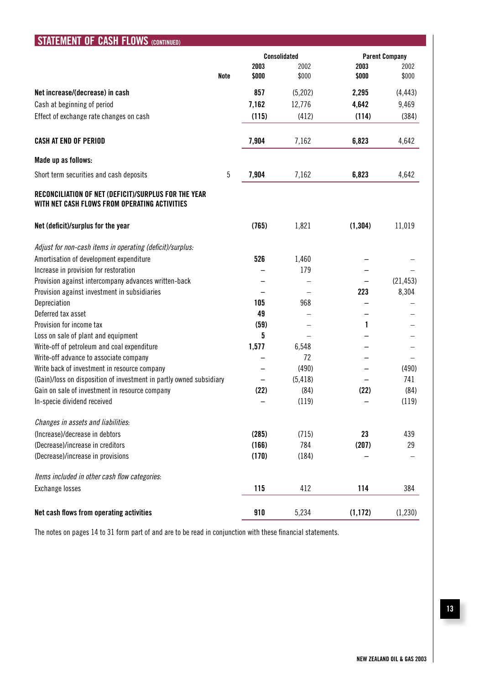| STATEMENT OF CASH FLOWS (CONTINUED)                                                                   |       |                     |          |                       |  |  |
|-------------------------------------------------------------------------------------------------------|-------|---------------------|----------|-----------------------|--|--|
|                                                                                                       |       | <b>Consolidated</b> |          | <b>Parent Company</b> |  |  |
|                                                                                                       | 2003  | 2002                | 2003     | 2002                  |  |  |
| <b>Note</b>                                                                                           | \$000 | \$000               | \$000    | \$000                 |  |  |
| Net increase/(decrease) in cash                                                                       | 857   | (5,202)             | 2,295    | (4, 443)              |  |  |
| Cash at beginning of period                                                                           | 7,162 | 12,776              | 4,642    | 9,469                 |  |  |
| Effect of exchange rate changes on cash                                                               | (115) | (412)               | (114)    | (384)                 |  |  |
| <b>CASH AT END OF PERIOD</b>                                                                          | 7,904 | 7,162               | 6,823    | 4,642                 |  |  |
| Made up as follows:                                                                                   |       |                     |          |                       |  |  |
| Short term securities and cash deposits<br>5                                                          | 7,904 | 7,162               | 6,823    | 4,642                 |  |  |
| RECONCILIATION OF NET (DEFICIT)/SURPLUS FOR THE YEAR<br>WITH NET CASH FLOWS FROM OPERATING ACTIVITIES |       |                     |          |                       |  |  |
| Net (deficit)/surplus for the year                                                                    | (765) | 1,821               | (1, 304) | 11,019                |  |  |
| Adjust for non-cash items in operating (deficit)/surplus:                                             |       |                     |          |                       |  |  |
| Amortisation of development expenditure                                                               | 526   | 1,460               |          |                       |  |  |
| Increase in provision for restoration                                                                 |       | 179                 |          |                       |  |  |
| Provision against intercompany advances written-back                                                  |       |                     |          | (21, 453)             |  |  |
| Provision against investment in subsidiaries                                                          |       |                     | 223      | 8,304                 |  |  |
| Depreciation                                                                                          | 105   | 968                 |          |                       |  |  |
| Deferred tax asset                                                                                    | 49    |                     |          |                       |  |  |
| Provision for income tax                                                                              | (59)  |                     | 1        |                       |  |  |
| Loss on sale of plant and equipment                                                                   | 5     |                     |          |                       |  |  |
| Write-off of petroleum and coal expenditure                                                           | 1,577 | 6,548               |          |                       |  |  |
| Write-off advance to associate company                                                                |       | 72                  |          |                       |  |  |
| Write back of investment in resource company                                                          |       | (490)               |          | (490)                 |  |  |
| (Gain)/loss on disposition of investment in partly owned subsidiary                                   |       | (5, 418)            |          | 741                   |  |  |
| Gain on sale of investment in resource company                                                        | (22)  | (84)                | (22)     | (84)                  |  |  |
| In-specie dividend received                                                                           |       | (119)               |          | (119)                 |  |  |
| Changes in assets and liabilities:                                                                    |       |                     |          |                       |  |  |
| (Increase)/decrease in debtors                                                                        | (285) | (715)               | 23       | 439                   |  |  |
| (Decrease)/increase in creditors                                                                      | (166) | 784                 | (207)    | 29                    |  |  |
| (Decrease)/increase in provisions                                                                     | (170) | (184)               |          |                       |  |  |
| Items included in other cash flow categories:                                                         |       |                     |          |                       |  |  |
| Exchange losses                                                                                       | 115   | 412                 | 114      | 384                   |  |  |
| Net cash flows from operating activities                                                              | 910   | 5,234               | (1, 172) | (1, 230)              |  |  |

The notes on pages 14 to 31 form part of and are to be read in conjunction with these financial statements.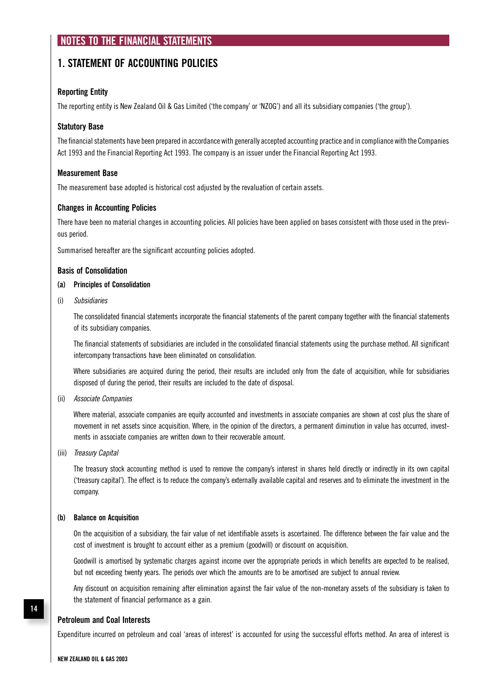### **NOTES TO THE FINANCIAL STATEMENTS**

### **1. STATEMENT OF ACCOUNTING POLICIES**

### **Reporting Entity**

The reporting entity is New Zealand Oil & Gas Limited ('the company' or 'NZOG') and all its subsidiary companies ('the group').

### **Statutory Base**

The financial statements have been prepared in accordance with generally accepted accounting practice and in compliance with the Companies Act 1993 and the Financial Reporting Act 1993. The company is an issuer under the Financial Reporting Act 1993.

#### **Measurement Base**

The measurement base adopted is historical cost adjusted by the revaluation of certain assets.

#### **Changes in Accounting Policies**

There have been no material changes in accounting policies. All policies have been applied on bases consistent with those used in the previous period.

Summarised hereafter are the significant accounting policies adopted.

#### **Basis of Consolidation**

#### **(a) Principles of Consolidation**

(i) Subsidiaries

 The consolidated financial statements incorporate the financial statements of the parent company together with the financial statements of its subsidiary companies.

 The financial statements of subsidiaries are included in the consolidated financial statements using the purchase method. All significant intercompany transactions have been eliminated on consolidation.

 Where subsidiaries are acquired during the period, their results are included only from the date of acquisition, while for subsidiaries disposed of during the period, their results are included to the date of disposal.

#### (ii) Associate Companies

 Where material, associate companies are equity accounted and investments in associate companies are shown at cost plus the share of movement in net assets since acquisition. Where, in the opinion of the directors, a permanent diminution in value has occurred, investments in associate companies are written down to their recoverable amount.

(iii) Treasury Capital

 The treasury stock accounting method is used to remove the company's interest in shares held directly or indirectly in its own capital ('treasury capital'). The effect is to reduce the company's externally available capital and reserves and to eliminate the investment in the company.

#### **(b) Balance on Acquisition**

 On the acquisition of a subsidiary, the fair value of net identifiable assets is ascertained. The difference between the fair value and the cost of investment is brought to account either as a premium (goodwill) or discount on acquisition.

 Goodwill is amortised by systematic charges against income over the appropriate periods in which benefits are expected to be realised, but not exceeding twenty years. The periods over which the amounts are to be amortised are subject to annual review.

 Any discount on acquisition remaining after elimination against the fair value of the non-monetary assets of the subsidiary is taken to the statement of financial performance as a gain.

#### **Petroleum and Coal Interests**

Expenditure incurred on petroleum and coal 'areas of interest' is accounted for using the successful efforts method. An area of interest is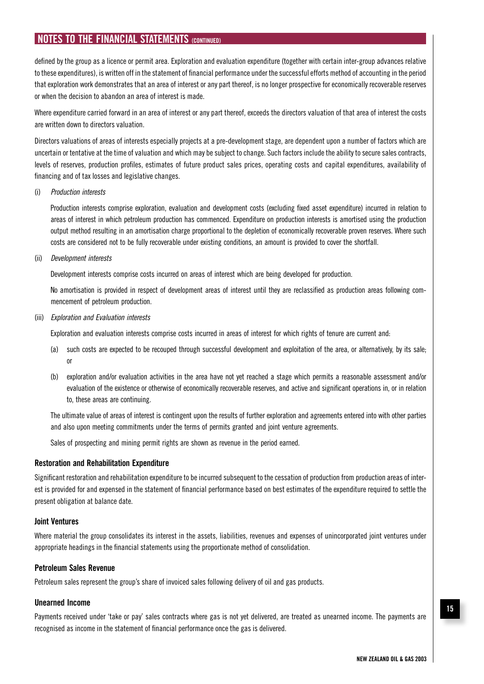defined by the group as a licence or permit area. Exploration and evaluation expenditure (together with certain inter-group advances relative to these expenditures), is written off in the statement of financial performance under the successful efforts method of accounting in the period that exploration work demonstrates that an area of interest or any part thereof, is no longer prospective for economically recoverable reserves or when the decision to abandon an area of interest is made.

Where expenditure carried forward in an area of interest or any part thereof, exceeds the directors valuation of that area of interest the costs are written down to directors valuation.

Directors valuations of areas of interests especially projects at a pre-development stage, are dependent upon a number of factors which are uncertain or tentative at the time of valuation and which may be subject to change. Such factors include the ability to secure sales contracts, levels of reserves, production profiles, estimates of future product sales prices, operating costs and capital expenditures, availability of financing and of tax losses and legislative changes.

(i) Production interests

 Production interests comprise exploration, evaluation and development costs (excluding fixed asset expenditure) incurred in relation to areas of interest in which petroleum production has commenced. Expenditure on production interests is amortised using the production output method resulting in an amortisation charge proportional to the depletion of economically recoverable proven reserves. Where such costs are considered not to be fully recoverable under existing conditions, an amount is provided to cover the shortfall.

(ii) Development interests

Development interests comprise costs incurred on areas of interest which are being developed for production.

 No amortisation is provided in respect of development areas of interest until they are reclassified as production areas following commencement of petroleum production.

(iii) Exploration and Evaluation interests

Exploration and evaluation interests comprise costs incurred in areas of interest for which rights of tenure are current and:

- (a) such costs are expected to be recouped through successful development and exploitation of the area, or alternatively, by its sale; or
- (b) exploration and/or evaluation activities in the area have not yet reached a stage which permits a reasonable assessment and/or evaluation of the existence or otherwise of economically recoverable reserves, and active and significant operations in, or in relation to, these areas are continuing.

 The ultimate value of areas of interest is contingent upon the results of further exploration and agreements entered into with other parties and also upon meeting commitments under the terms of permits granted and joint venture agreements.

Sales of prospecting and mining permit rights are shown as revenue in the period earned.

#### **Restoration and Rehabilitation Expenditure**

Significant restoration and rehabilitation expenditure to be incurred subsequent to the cessation of production from production areas of interest is provided for and expensed in the statement of financial performance based on best estimates of the expenditure required to settle the present obligation at balance date.

#### **Joint Ventures**

Where material the group consolidates its interest in the assets, liabilities, revenues and expenses of unincorporated joint ventures under appropriate headings in the financial statements using the proportionate method of consolidation.

#### **Petroleum Sales Revenue**

Petroleum sales represent the group's share of invoiced sales following delivery of oil and gas products.

#### **Unearned Income**

Payments received under 'take or pay' sales contracts where gas is not yet delivered, are treated as unearned income. The payments are recognised as income in the statement of financial performance once the gas is delivered.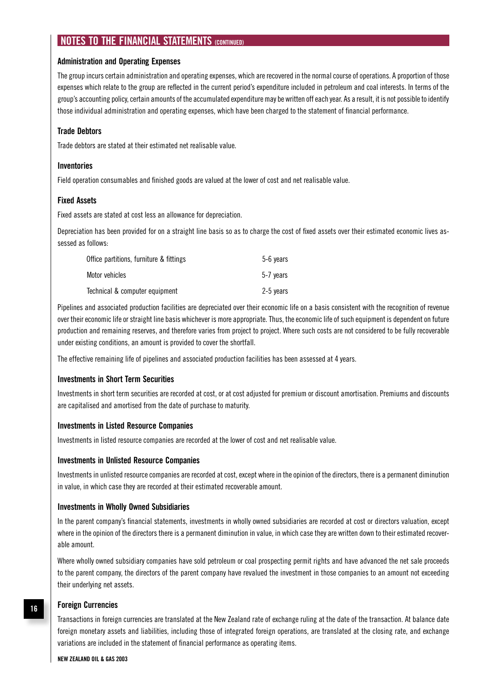#### **Administration and Operating Expenses**

The group incurs certain administration and operating expenses, which are recovered in the normal course of operations. A proportion of those expenses which relate to the group are reflected in the current period's expenditure included in petroleum and coal interests. In terms of the group's accounting policy, certain amounts of the accumulated expenditure may be written off each year. As a result, it is not possible to identify those individual administration and operating expenses, which have been charged to the statement of financial performance.

#### **Trade Debtors**

Trade debtors are stated at their estimated net realisable value.

#### **Inventories**

Field operation consumables and finished goods are valued at the lower of cost and net realisable value.

#### **Fixed Assets**

Fixed assets are stated at cost less an allowance for depreciation.

Depreciation has been provided for on a straight line basis so as to charge the cost of fixed assets over their estimated economic lives assessed as follows:

| Office partitions, furniture & fittings | 5-6 years |
|-----------------------------------------|-----------|
| Motor vehicles                          | 5-7 vears |
| Technical & computer equipment          | 2-5 years |

Pipelines and associated production facilities are depreciated over their economic life on a basis consistent with the recognition of revenue over their economic life or straight line basis whichever is more appropriate. Thus, the economic life of such equipment is dependent on future production and remaining reserves, and therefore varies from project to project. Where such costs are not considered to be fully recoverable under existing conditions, an amount is provided to cover the shortfall.

The effective remaining life of pipelines and associated production facilities has been assessed at 4 years.

#### **Investments in Short Term Securities**

Investments in short term securities are recorded at cost, or at cost adjusted for premium or discount amortisation. Premiums and discounts are capitalised and amortised from the date of purchase to maturity.

#### **Investments in Listed Resource Companies**

Investments in listed resource companies are recorded at the lower of cost and net realisable value.

#### **Investments in Unlisted Resource Companies**

Investments in unlisted resource companies are recorded at cost, except where in the opinion of the directors, there is a permanent diminution in value, in which case they are recorded at their estimated recoverable amount.

#### **Investments in Wholly Owned Subsidiaries**

In the parent company's financial statements, investments in wholly owned subsidiaries are recorded at cost or directors valuation, except where in the opinion of the directors there is a permanent diminution in value, in which case they are written down to their estimated recoverable amount.

Where wholly owned subsidiary companies have sold petroleum or coal prospecting permit rights and have advanced the net sale proceeds to the parent company, the directors of the parent company have revalued the investment in those companies to an amount not exceeding their underlying net assets.

#### **Foreign Currencies**

Transactions in foreign currencies are translated at the New Zealand rate of exchange ruling at the date of the transaction. At balance date foreign monetary assets and liabilities, including those of integrated foreign operations, are translated at the closing rate, and exchange variations are included in the statement of financial performance as operating items.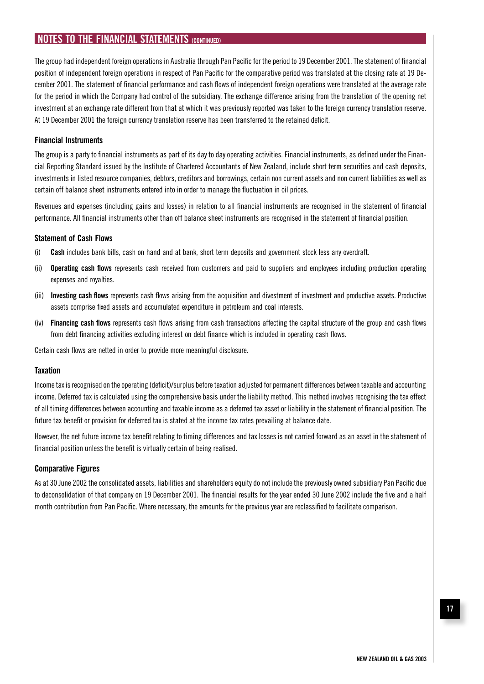The group had independent foreign operations in Australia through Pan Pacific for the period to 19 December 2001. The statement of financial position of independent foreign operations in respect of Pan Pacific for the comparative period was translated at the closing rate at 19 December 2001. The statement of financial performance and cash flows of independent foreign operations were translated at the average rate for the period in which the Company had control of the subsidiary. The exchange difference arising from the translation of the opening net investment at an exchange rate different from that at which it was previously reported was taken to the foreign currency translation reserve. At 19 December 2001 the foreign currency translation reserve has been transferred to the retained deficit.

#### **Financial Instruments**

The group is a party to financial instruments as part of its day to day operating activities. Financial instruments, as defined under the Financial Reporting Standard issued by the Institute of Chartered Accountants of New Zealand, include short term securities and cash deposits, investments in listed resource companies, debtors, creditors and borrowings, certain non current assets and non current liabilities as well as certain off balance sheet instruments entered into in order to manage the fluctuation in oil prices.

Revenues and expenses (including gains and losses) in relation to all financial instruments are recognised in the statement of financial performance. All financial instruments other than off balance sheet instruments are recognised in the statement of financial position.

#### **Statement of Cash Flows**

- (i) **Cash** includes bank bills, cash on hand and at bank, short term deposits and government stock less any overdraft.
- (ii) **Operating cash flows** represents cash received from customers and paid to suppliers and employees including production operating expenses and royalties.
- (iii) **Investing cash flows** represents cash flows arising from the acquisition and divestment of investment and productive assets. Productive assets comprise fixed assets and accumulated expenditure in petroleum and coal interests.
- (iv) **Financing cash flows** represents cash flows arising from cash transactions affecting the capital structure of the group and cash flows from debt financing activities excluding interest on debt finance which is included in operating cash flows.

Certain cash flows are netted in order to provide more meaningful disclosure.

#### **Taxation**

Income tax is recognised on the operating (deficit)/surplus before taxation adjusted for permanent differences between taxable and accounting income. Deferred tax is calculated using the comprehensive basis under the liability method. This method involves recognising the tax effect of all timing differences between accounting and taxable income as a deferred tax asset or liability in the statement of financial position. The future tax benefit or provision for deferred tax is stated at the income tax rates prevailing at balance date.

However, the net future income tax benefit relating to timing differences and tax losses is not carried forward as an asset in the statement of financial position unless the benefit is virtually certain of being realised.

#### **Comparative Figures**

As at 30 June 2002 the consolidated assets, liabilities and shareholders equity do not include the previously owned subsidiary Pan Pacific due to deconsolidation of that company on 19 December 2001. The financial results for the year ended 30 June 2002 include the five and a half month contribution from Pan Pacific. Where necessary, the amounts for the previous year are reclassified to facilitate comparison.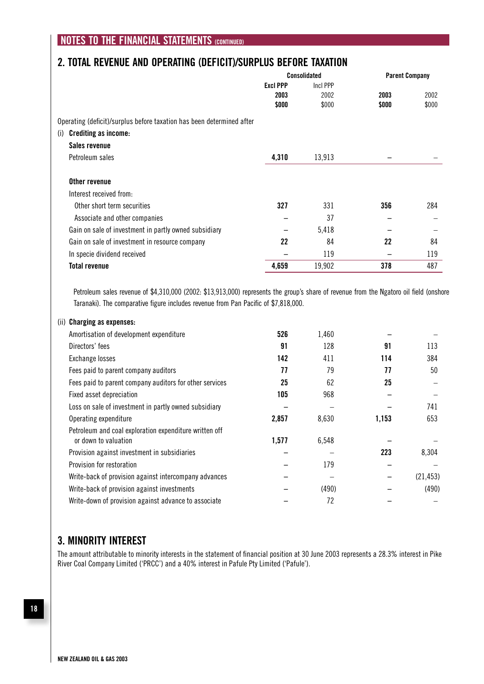### **2. TOTAL REVENUE AND OPERATING (DEFICIT)/SURPLUS BEFORE TAXATION**

|                                                                       |                 | Consolidated |       | <b>Parent Company</b> |  |
|-----------------------------------------------------------------------|-----------------|--------------|-------|-----------------------|--|
|                                                                       | <b>Excl PPP</b> | Incl PPP     |       |                       |  |
|                                                                       | 2003            | 2002         | 2003  | 2002                  |  |
|                                                                       | \$000           | \$000        | \$000 | \$000                 |  |
| Operating (deficit)/surplus before taxation has been determined after |                 |              |       |                       |  |
| <b>Crediting as income:</b><br>(i)                                    |                 |              |       |                       |  |
| Sales revenue                                                         |                 |              |       |                       |  |
| Petroleum sales                                                       | 4,310           | 13,913       |       |                       |  |
| Other revenue                                                         |                 |              |       |                       |  |
| Interest received from:                                               |                 |              |       |                       |  |
| Other short term securities                                           | 327             | 331          | 356   | 284                   |  |
| Associate and other companies                                         |                 | 37           |       |                       |  |
| Gain on sale of investment in partly owned subsidiary                 |                 | 5,418        |       |                       |  |
| Gain on sale of investment in resource company                        | 22              | 84           | 22    | 84                    |  |
| In specie dividend received                                           |                 | 119          |       | 119                   |  |
| <b>Total revenue</b>                                                  | 4,659           | 19,902       | 378   | 487                   |  |

 Petroleum sales revenue of \$4,310,000 (2002: \$13,913,000) represents the group's share of revenue from the Ngatoro oil field (onshore Taranaki). The comparative figure includes revenue from Pan Pacific of \$7,818,000.

| 526   | 1,460 |       |           |
|-------|-------|-------|-----------|
| 91    | 128   | 91    | 113       |
| 142   | 411   | 114   | 384       |
| 77    | 79    | 77    | 50        |
| 25    | 62    | 25    |           |
| 105   | 968   |       |           |
|       |       |       | 741       |
| 2,857 | 8,630 | 1,153 | 653       |
| 1,577 | 6,548 |       |           |
|       |       | 223   | 8,304     |
|       | 179   |       |           |
|       |       |       | (21, 453) |
|       | (490) |       | (490)     |
|       | 72    |       |           |
|       |       |       |           |

### **3. MINORITY INTEREST**

The amount attributable to minority interests in the statement of financial position at 30 June 2003 represents a 28.3% interest in Pike River Coal Company Limited ('PRCC') and a 40% interest in Pafule Pty Limited ('Pafule').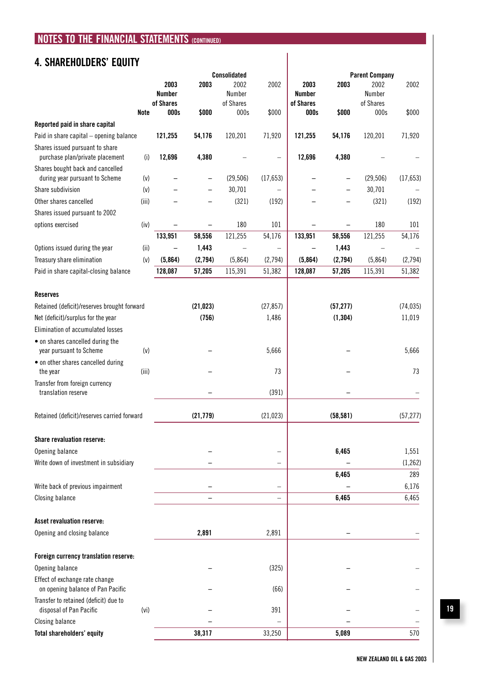## **4. SHAREHOLDERS' EQUITY**

|                                                                            |             | <b>Consolidated</b>         |           |                             |                          |                                    |                          | <b>Parent Company</b>       |           |
|----------------------------------------------------------------------------|-------------|-----------------------------|-----------|-----------------------------|--------------------------|------------------------------------|--------------------------|-----------------------------|-----------|
|                                                                            |             | 2003<br>Number<br>of Shares | 2003      | 2002<br>Number<br>of Shares | 2002                     | 2003<br><b>Number</b><br>of Shares | 2003                     | 2002<br>Number<br>of Shares | 2002      |
|                                                                            | <b>Note</b> | 000s                        | \$000     | 000s                        | \$000                    | 000s                               | \$000                    | 000s                        | \$000     |
| Reported paid in share capital                                             |             |                             |           |                             |                          |                                    |                          |                             |           |
| Paid in share capital - opening balance                                    |             | 121,255                     | 54,176    | 120,201                     | 71,920                   | 121,255                            | 54,176                   | 120,201                     | 71,920    |
| Shares issued pursuant to share<br>purchase plan/private placement         | (i)         | 12,696                      | 4,380     |                             |                          | 12,696                             | 4,380                    |                             |           |
| Shares bought back and cancelled                                           |             |                             |           |                             |                          |                                    |                          |                             |           |
| during year pursuant to Scheme                                             | (v)         |                             |           | (29, 506)                   | (17, 653)                |                                    | -                        | (29, 506)                   | (17, 653) |
| Share subdivision                                                          | (v)         |                             |           | 30,701                      |                          |                                    |                          | 30,701                      |           |
| Other shares cancelled                                                     | (iii)       |                             |           | (321)                       | (192)                    |                                    |                          | (321)                       | (192)     |
| Shares issued pursuant to 2002                                             |             |                             |           |                             |                          |                                    |                          |                             |           |
| options exercised                                                          | (iv)        |                             |           | 180                         | 101                      |                                    | $\overline{\phantom{0}}$ | 180                         | 101       |
|                                                                            |             | 133,951                     | 58,556    | 121,255                     | 54,176                   | 133,951                            | 58,556                   | 121,255                     | 54,176    |
| Options issued during the year                                             | (ii)        |                             | 1,443     | $\overline{\phantom{0}}$    | $\qquad \qquad -$        |                                    | 1,443                    | $\qquad \qquad -$           |           |
| Treasury share elimination                                                 | (v)         | (5,864)                     | (2,794)   | (5,864)                     | (2,794)                  | (5,864)                            | (2,794)                  | (5,864)                     | (2,794)   |
| Paid in share capital-closing balance                                      |             | 128,087                     | 57,205    | 115,391                     | 51,382                   | 128,087                            | 57,205                   | 115,391                     | 51,382    |
| <b>Reserves</b>                                                            |             |                             |           |                             |                          |                                    |                          |                             |           |
| Retained (deficit)/reserves brought forward                                |             |                             | (21, 023) |                             | (27, 857)                |                                    | (57, 277)                |                             | (74, 035) |
| Net (deficit)/surplus for the year                                         |             |                             | (756)     |                             | 1,486                    |                                    | (1, 304)                 |                             | 11,019    |
| Elimination of accumulated losses                                          |             |                             |           |                             |                          |                                    |                          |                             |           |
| • on shares cancelled during the                                           |             |                             |           |                             |                          |                                    |                          |                             |           |
| year pursuant to Scheme                                                    | (v)         |                             |           |                             | 5,666                    |                                    |                          |                             | 5,666     |
| • on other shares cancelled during<br>the year                             | (iii)       |                             |           |                             | 73                       |                                    |                          |                             | 73        |
| Transfer from foreign currency                                             |             |                             |           |                             |                          |                                    |                          |                             |           |
| translation reserve                                                        |             |                             |           |                             | (391)                    |                                    |                          |                             |           |
| Retained (deficit)/reserves carried forward                                |             |                             | (21, 779) |                             | (21, 023)                |                                    | (58, 581)                |                             | (57, 277) |
| <b>Share revaluation reserve:</b>                                          |             |                             |           |                             |                          |                                    |                          |                             |           |
| Opening balance                                                            |             |                             |           |                             |                          |                                    | 6,465                    |                             | 1,551     |
| Write down of investment in subsidiary                                     |             |                             |           |                             |                          |                                    |                          |                             | (1, 262)  |
|                                                                            |             |                             |           |                             |                          |                                    | 6,465                    |                             | 289       |
| Write back of previous impairment                                          |             |                             |           |                             |                          |                                    |                          |                             | 6,176     |
| <b>Closing balance</b>                                                     |             |                             |           |                             | $\overline{\phantom{0}}$ |                                    | 6,465                    |                             | 6,465     |
|                                                                            |             |                             |           |                             |                          |                                    |                          |                             |           |
| <b>Asset revaluation reserve:</b>                                          |             |                             |           |                             |                          |                                    |                          |                             |           |
| Opening and closing balance                                                |             |                             | 2,891     |                             | 2,891                    |                                    |                          |                             |           |
|                                                                            |             |                             |           |                             |                          |                                    |                          |                             |           |
| Foreign currency translation reserve:<br>Opening balance                   |             |                             |           |                             | (325)                    |                                    |                          |                             |           |
| Effect of exchange rate change                                             |             |                             |           |                             |                          |                                    |                          |                             |           |
| on opening balance of Pan Pacific<br>Transfer to retained (deficit) due to |             |                             |           |                             | (66)                     |                                    |                          |                             |           |
| disposal of Pan Pacific                                                    | (vi)        |                             |           |                             | 391                      |                                    |                          |                             |           |
| <b>Closing balance</b>                                                     |             |                             |           |                             |                          |                                    |                          |                             |           |
| <b>Total shareholders' equity</b>                                          |             |                             | 38,317    |                             | 33,250                   |                                    | 5,089                    |                             | 570       |

**19**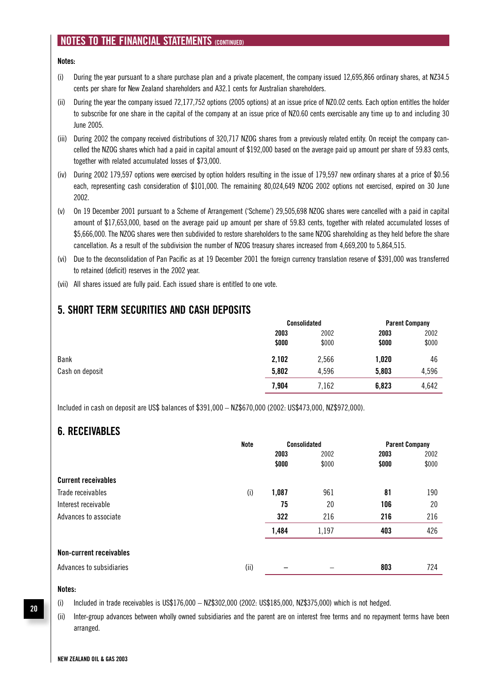#### **Notes:**

- (i) During the year pursuant to a share purchase plan and a private placement, the company issued 12,695,866 ordinary shares, at NZ34.5 cents per share for New Zealand shareholders and A32.1 cents for Australian shareholders.
- (ii) During the year the company issued 72,177,752 options (2005 options) at an issue price of NZ0.02 cents. Each option entitles the holder to subscribe for one share in the capital of the company at an issue price of NZ0.60 cents exercisable any time up to and including 30 June 2005.
- (iii) During 2002 the company received distributions of 320,717 NZOG shares from a previously related entity. On receipt the company cancelled the NZOG shares which had a paid in capital amount of \$192,000 based on the average paid up amount per share of 59.83 cents, together with related accumulated losses of \$73,000.
- (iv) During 2002 179,597 options were exercised by option holders resulting in the issue of 179,597 new ordinary shares at a price of \$0.56 each, representing cash consideration of \$101,000. The remaining 80,024,649 NZOG 2002 options not exercised, expired on 30 June 2002.
- (v) On 19 December 2001 pursuant to a Scheme of Arrangement ('Scheme') 29,505,698 NZOG shares were cancelled with a paid in capital amount of \$17,653,000, based on the average paid up amount per share of 59.83 cents, together with related accumulated losses of \$5,666,000. The NZOG shares were then subdivided to restore shareholders to the same NZOG shareholding as they held before the share cancellation. As a result of the subdivision the number of NZOG treasury shares increased from 4,669,200 to 5,864,515.
- (vi) Due to the deconsolidation of Pan Pacific as at 19 December 2001 the foreign currency translation reserve of \$391,000 was transferred to retained (deficit) reserves in the 2002 year.
- (vii) All shares issued are fully paid. Each issued share is entitled to one vote.

### **5. SHORT TERM SECURITIES AND CASH DEPOSITS**

|                 |       | <b>Consolidated</b> |       | <b>Parent Company</b> |  |
|-----------------|-------|---------------------|-------|-----------------------|--|
|                 | 2003  | 2002                | 2003  | 2002                  |  |
|                 | \$000 | \$000               | \$000 | \$000                 |  |
| Bank            | 2,102 | 2,566               | 1,020 | 46                    |  |
| Cash on deposit | 5,802 | 4,596               | 5,803 | 4,596                 |  |
|                 | 7,904 | 7,162               | 6,823 | 4,642                 |  |

Included in cash on deposit are US\$ balances of \$391,000 – NZ\$670,000 (2002: US\$473,000, NZ\$972,000).

### **6. RECEIVABLES**

|                            | <b>Note</b> | <b>Consolidated</b> |       | <b>Parent Company</b> |       |
|----------------------------|-------------|---------------------|-------|-----------------------|-------|
|                            |             | 2003                | 2002  | 2003                  | 2002  |
|                            |             | \$000               | \$000 | \$000                 | \$000 |
| <b>Current receivables</b> |             |                     |       |                       |       |
| Trade receivables          | (i)         | 1,087               | 961   | 81                    | 190   |
| Interest receivable        |             | 75                  | 20    | 106                   | 20    |
| Advances to associate      |             | 322                 | 216   | 216                   | 216   |
|                            |             | 1,484               | 1,197 | 403                   | 426   |
| Non-current receivables    |             |                     |       |                       |       |
| Advances to subsidiaries   | (ii)        |                     |       | 803                   | 724   |

#### **Notes:**

(i) Included in trade receivables is US\$176,000 – NZ\$302,000 (2002: US\$185,000, NZ\$375,000) which is not hedged.

(ii) Inter-group advances between wholly owned subsidiaries and the parent are on interest free terms and no repayment terms have been arranged.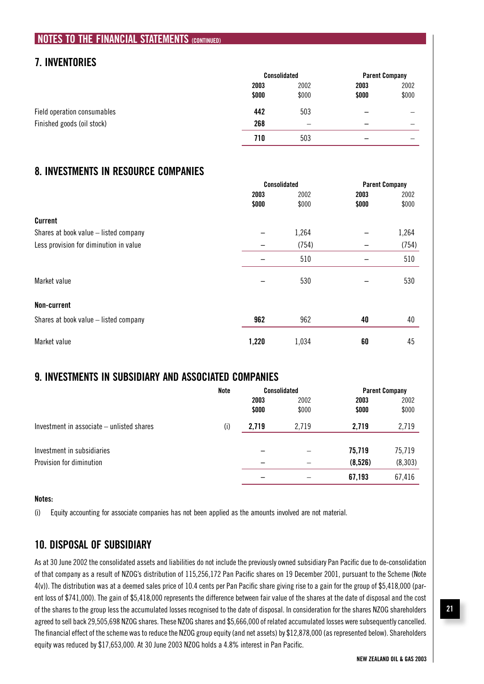### **7. INVENTORIES**

|                             | <b>Consolidated</b> |                          | <b>Parent Company</b> |       |
|-----------------------------|---------------------|--------------------------|-----------------------|-------|
|                             | 2003                | 2002                     | 2003                  | 2002  |
|                             | \$000               | \$000                    | \$000                 | \$000 |
| Field operation consumables | 442                 | 503                      |                       |       |
| Finished goods (oil stock)  | 268                 | $\overline{\phantom{0}}$ | -                     |       |
|                             | 710                 | 503                      | -                     |       |

### **8. INVESTMENTS IN RESOURCE COMPANIES**

|                                        | <b>Consolidated</b> |       | <b>Parent Company</b> |       |
|----------------------------------------|---------------------|-------|-----------------------|-------|
|                                        | 2003                | 2002  | 2003                  | 2002  |
|                                        | \$000               | \$000 | \$000                 | \$000 |
| Current                                |                     |       |                       |       |
| Shares at book value - listed company  |                     | 1,264 |                       | 1,264 |
| Less provision for diminution in value |                     | (754) |                       | (754) |
|                                        |                     | 510   |                       | 510   |
| Market value                           |                     | 530   |                       | 530   |
| Non-current                            |                     |       |                       |       |
| Shares at book value - listed company  | 962                 | 962   | 40                    | 40    |
| Market value                           | 1,220               | 1,034 | 60                    | 45    |

### **9. INVESTMENTS IN SUBSIDIARY AND ASSOCIATED COMPANIES**

|                                           | Note |       | <b>Consolidated</b> |         | <b>Parent Company</b> |
|-------------------------------------------|------|-------|---------------------|---------|-----------------------|
|                                           |      | 2003  | 2002                | 2003    | 2002                  |
|                                           |      | \$000 | \$000               | \$000   | \$000                 |
| Investment in associate – unlisted shares | (i)  | 2,719 | 2,719               | 2,719   | 2,719                 |
|                                           |      |       |                     |         |                       |
| Investment in subsidiaries                |      |       |                     | 75,719  | 75,719                |
| Provision for diminution                  |      |       |                     | (8,526) | (8, 303)              |
|                                           |      |       |                     | 67,193  | 67,416                |

#### **Notes:**

(i) Equity accounting for associate companies has not been applied as the amounts involved are not material.

### **10. DISPOSAL OF SUBSIDIARY**

As at 30 June 2002 the consolidated assets and liabilities do not include the previously owned subsidiary Pan Pacific due to de-consolidation of that company as a result of NZOG's distribution of 115,256,172 Pan Pacific shares on 19 December 2001, pursuant to the Scheme (Note 4(v)). The distribution was at a deemed sales price of 10.4 cents per Pan Pacific share giving rise to a gain for the group of \$5,418,000 (parent loss of \$741,000). The gain of \$5,418,000 represents the difference between fair value of the shares at the date of disposal and the cost of the shares to the group less the accumulated losses recognised to the date of disposal. In consideration for the shares NZOG shareholders agreed to sell back 29,505,698 NZOG shares. These NZOG shares and \$5,666,000 of related accumulated losses were subsequently cancelled. The financial effect of the scheme was to reduce the NZOG group equity (and net assets) by \$12,878,000 (as represented below). Shareholders equity was reduced by \$17,653,000. At 30 June 2003 NZOG holds a 4.8% interest in Pan Pacific.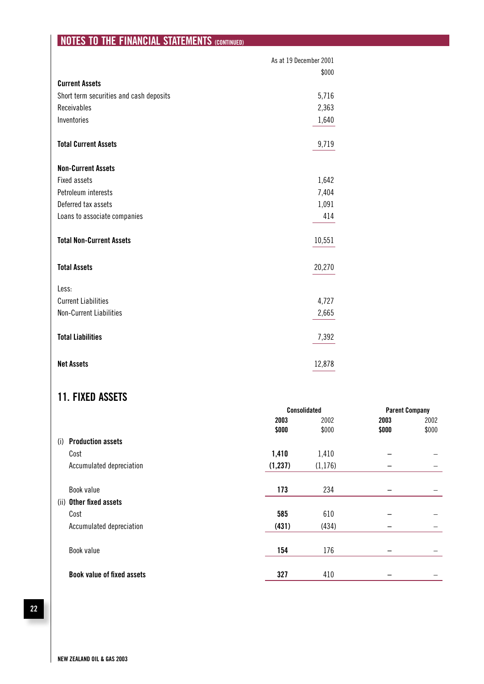|                                         | As at 19 December 2001 |
|-----------------------------------------|------------------------|
| <b>Current Assets</b>                   | \$000                  |
|                                         |                        |
| Short term securities and cash deposits | 5,716                  |
| Receivables                             | 2,363                  |
| Inventories                             | 1,640                  |
| <b>Total Current Assets</b>             | 9,719                  |
| <b>Non-Current Assets</b>               |                        |
| <b>Fixed assets</b>                     | 1,642                  |
| Petroleum interests                     | 7,404                  |
| Deferred tax assets                     | 1,091                  |
| Loans to associate companies            | 414                    |
| <b>Total Non-Current Assets</b>         | 10,551                 |
| <b>Total Assets</b>                     | 20,270                 |
| Less:                                   |                        |
| <b>Current Liabilities</b>              | 4,727                  |
| Non-Current Liabilities                 | 2,665                  |
| <b>Total Liabilities</b>                | 7,392                  |
| <b>Net Assets</b>                       | 12,878                 |

### **11. FIXED ASSETS**

|                                   | <b>Consolidated</b> |          | <b>Parent Company</b> |       |
|-----------------------------------|---------------------|----------|-----------------------|-------|
|                                   | 2003                | 2002     | 2003                  | 2002  |
|                                   | \$000               | \$000    | \$000                 | \$000 |
| <b>Production assets</b><br>(i)   |                     |          |                       |       |
| Cost                              | 1,410               | 1,410    |                       |       |
| Accumulated depreciation          | (1, 237)            | (1, 176) | -                     | -     |
| Book value                        | 173                 | 234      |                       |       |
| Other fixed assets<br>(ii)        |                     |          |                       |       |
| Cost                              | 585                 | 610      |                       |       |
| Accumulated depreciation          | (431)               | (434)    | -                     | -     |
| Book value                        | 154                 | 176      |                       |       |
| <b>Book value of fixed assets</b> | 327                 | 410      |                       |       |

**22**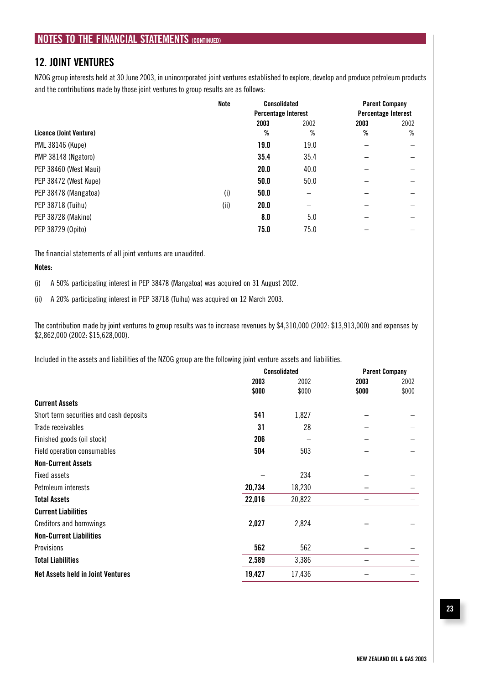### **12. JOINT VENTURES**

NZOG group interests held at 30 June 2003, in unincorporated joint ventures established to explore, develop and produce petroleum products and the contributions made by those joint ventures to group results are as follows:

|                         | <b>Note</b> | <b>Consolidated</b><br><b>Percentage Interest</b> |      | <b>Parent Company</b><br><b>Percentage Interest</b> |      |
|-------------------------|-------------|---------------------------------------------------|------|-----------------------------------------------------|------|
|                         |             |                                                   |      |                                                     |      |
|                         |             | 2003                                              | 2002 | 2003                                                | 2002 |
| Licence (Joint Venture) |             | %                                                 | %    | ℅                                                   | %    |
| PML 38146 (Kupe)        |             | 19.0                                              | 19.0 |                                                     |      |
| PMP 38148 (Ngatoro)     |             | 35.4                                              | 35.4 |                                                     |      |
| PEP 38460 (West Maui)   |             | 20.0                                              | 40.0 |                                                     |      |
| PEP 38472 (West Kupe)   |             | 50.0                                              | 50.0 |                                                     |      |
| PEP 38478 (Mangatoa)    | (i)         | 50.0                                              |      |                                                     |      |
| PEP 38718 (Tuihu)       | (ii)        | 20.0                                              |      |                                                     |      |
| PEP 38728 (Makino)      |             | 8.0                                               | 5.0  |                                                     |      |
| PEP 38729 (Opito)       |             | 75.0                                              | 75.0 |                                                     |      |

The financial statements of all joint ventures are unaudited.

#### **Notes:**

(i) A 50% participating interest in PEP 38478 (Mangatoa) was acquired on 31 August 2002.

(ii) A 20% participating interest in PEP 38718 (Tuihu) was acquired on 12 March 2003.

The contribution made by joint ventures to group results was to increase revenues by \$4,310,000 (2002: \$13,913,000) and expenses by \$2,862,000 (2002: \$15,628,000).

Included in the assets and liabilities of the NZOG group are the following joint venture assets and liabilities.

|                                          | <b>Consolidated</b> |        | <b>Parent Company</b> |       |
|------------------------------------------|---------------------|--------|-----------------------|-------|
|                                          | 2003                | 2002   | 2003                  | 2002  |
|                                          | \$000               | \$000  | \$000                 | \$000 |
| <b>Current Assets</b>                    |                     |        |                       |       |
| Short term securities and cash deposits  | 541                 | 1,827  |                       |       |
| Trade receivables                        | 31                  | 28     |                       |       |
| Finished goods (oil stock)               | 206                 |        |                       |       |
| Field operation consumables              | 504                 | 503    |                       |       |
| <b>Non-Current Assets</b>                |                     |        |                       |       |
| Fixed assets                             |                     | 234    |                       |       |
| Petroleum interests                      | 20,734              | 18,230 |                       |       |
| <b>Total Assets</b>                      | 22,016              | 20,822 |                       |       |
| <b>Current Liabilities</b>               |                     |        |                       |       |
| <b>Creditors and borrowings</b>          | 2,027               | 2,824  |                       |       |
| <b>Non-Current Liabilities</b>           |                     |        |                       |       |
| Provisions                               | 562                 | 562    |                       |       |
| <b>Total Liabilities</b>                 | 2,589               | 3,386  |                       |       |
| <b>Net Assets held in Joint Ventures</b> | 19,427              | 17,436 |                       |       |
|                                          |                     |        |                       |       |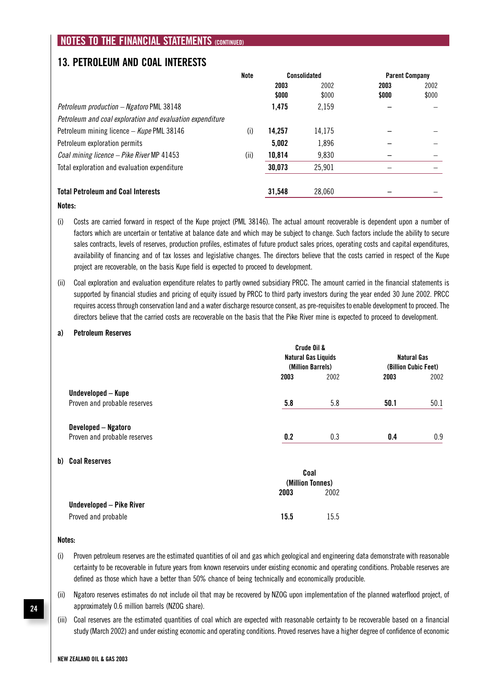### **13. PETROLEUM AND COAL INTERESTS**

| Note |        | <b>Parent Company</b> |              |       |
|------|--------|-----------------------|--------------|-------|
|      | 2003   | 2002                  | 2003         | 2002  |
|      | \$000  | \$000                 | \$000        | \$000 |
|      | 1,475  | 2,159                 |              |       |
|      |        |                       |              |       |
| (i)  | 14.257 | 14,175                |              |       |
|      | 5,002  | 1,896                 |              |       |
| (ii) | 10,814 | 9,830                 |              |       |
|      | 30,073 | 25,901                |              |       |
|      | 31,548 | 28,060                |              |       |
|      |        |                       | Consolidated |       |

#### **Notes:**

- (i) Costs are carried forward in respect of the Kupe project (PML 38146). The actual amount recoverable is dependent upon a number of factors which are uncertain or tentative at balance date and which may be subject to change. Such factors include the ability to secure sales contracts, levels of reserves, production profiles, estimates of future product sales prices, operating costs and capital expenditures, availability of financing and of tax losses and legislative changes. The directors believe that the costs carried in respect of the Kupe project are recoverable, on the basis Kupe field is expected to proceed to development.
- (ii) Coal exploration and evaluation expenditure relates to partly owned subsidiary PRCC. The amount carried in the financial statements is supported by financial studies and pricing of equity issued by PRCC to third party investors during the year ended 30 June 2002. PRCC requires access through conservation land and a water discharge resource consent, as pre-requisites to enable development to proceed. The directors believe that the carried costs are recoverable on the basis that the Pike River mine is expected to proceed to development.

#### **a) Petroleum Reserves**

|                                  |      | Crude Oil &                |                      |      |
|----------------------------------|------|----------------------------|----------------------|------|
|                                  |      | <b>Natural Gas Liquids</b> | <b>Natural Gas</b>   |      |
|                                  |      | (Million Barrels)          | (Billion Cubic Feet) |      |
|                                  | 2003 | 2002                       | 2003                 | 2002 |
| Undeveloped - Kupe               |      |                            |                      |      |
| Proven and probable reserves     | 5.8  | 5.8                        | 50.1                 | 50.1 |
| Developed - Ngatoro              |      |                            |                      |      |
| Proven and probable reserves     | 0.2  | 0.3                        | 0.4                  | 0.9  |
| b) Coal Reserves                 |      |                            |                      |      |
|                                  |      | Coal                       |                      |      |
|                                  |      | (Million Tonnes)           |                      |      |
|                                  | 2003 | 2002                       |                      |      |
| <b>IIndeveloned - Pike River</b> |      |                            |                      |      |

| Proved and probable | 15.5 | 15.5 |
|---------------------|------|------|

#### **Notes:**

- (i) Proven petroleum reserves are the estimated quantities of oil and gas which geological and engineering data demonstrate with reasonable certainty to be recoverable in future years from known reservoirs under existing economic and operating conditions. Probable reserves are defined as those which have a better than 50% chance of being technically and economically producible.
- (ii) Ngatoro reserves estimates do not include oil that may be recovered by NZOG upon implementation of the planned waterflood project, of approximately 0.6 million barrels (NZOG share).
- (iii) Coal reserves are the estimated quantities of coal which are expected with reasonable certainty to be recoverable based on a financial study (March 2002) and under existing economic and operating conditions. Proved reserves have a higher degree of confidence of economic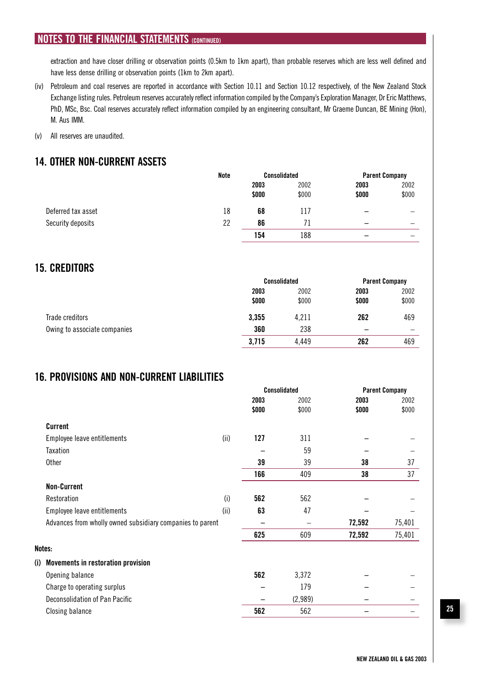extraction and have closer drilling or observation points (0.5km to 1km apart), than probable reserves which are less well defined and have less dense drilling or observation points (1km to 2km apart).

- (iv) Petroleum and coal reserves are reported in accordance with Section 10.11 and Section 10.12 respectively, of the New Zealand Stock Exchange listing rules. Petroleum reserves accurately reflect information compiled by the Company's Exploration Manager, Dr Eric Matthews, PhD, MSc, Bsc. Coal reserves accurately reflect information compiled by an engineering consultant, Mr Graeme Duncan, BE Mining (Hon), M. Aus IMM.
- (v) All reserves are unaudited.

### **14. OTHER NON-CURRENT ASSETS**

|                    | Note |       | <b>Consolidated</b> |       | <b>Parent Company</b> |
|--------------------|------|-------|---------------------|-------|-----------------------|
|                    |      | 2003  | 2002                | 2003  | 2002                  |
|                    |      | \$000 | \$000               | \$000 | \$000                 |
| Deferred tax asset | 18   | 68    | 117                 | -     |                       |
| Security deposits  | 22   | 86    |                     | -     | -                     |
|                    |      | 154   | 188                 |       |                       |

### **15. CREDITORS**

|                              |       | <b>Consolidated</b> |       | <b>Parent Company</b> |
|------------------------------|-------|---------------------|-------|-----------------------|
|                              | 2003  | 2002                | 2003  | 2002                  |
|                              | \$000 | \$000               | \$000 | \$000                 |
| Trade creditors              | 3,355 | 4,211               | 262   | 469                   |
| Owing to associate companies | 360   | 238                 | -     | -                     |
|                              | 3,715 | 4,449               | 262   | 469                   |

### **16. PROVISIONS AND NON-CURRENT LIABILITIES**

|        |                                                           |      | <b>Consolidated</b> |         | <b>Parent Company</b> |        |
|--------|-----------------------------------------------------------|------|---------------------|---------|-----------------------|--------|
|        |                                                           |      | 2003                | 2002    | 2003                  | 2002   |
|        |                                                           |      | \$000               | \$000   | \$000                 | \$000  |
|        | <b>Current</b>                                            |      |                     |         |                       |        |
|        | Employee leave entitlements                               | (ii) | 127                 | 311     |                       |        |
|        | Taxation                                                  |      |                     | 59      |                       |        |
|        | Other                                                     |      | 39                  | 39      | 38                    | 37     |
|        |                                                           |      | 166                 | 409     | 38                    | 37     |
|        | <b>Non-Current</b>                                        |      |                     |         |                       |        |
|        | Restoration                                               | (i)  | 562                 | 562     |                       |        |
|        | Employee leave entitlements                               | (ii) | 63                  | 47      |                       |        |
|        | Advances from wholly owned subsidiary companies to parent |      |                     |         | 72,592                | 75,401 |
|        |                                                           |      | 625                 | 609     | 72,592                | 75,401 |
| Notes: |                                                           |      |                     |         |                       |        |
| (i)    | <b>Movements in restoration provision</b>                 |      |                     |         |                       |        |
|        | Opening balance                                           |      | 562                 | 3,372   |                       |        |
|        | Charge to operating surplus                               |      |                     | 179     |                       |        |
|        | Deconsolidation of Pan Pacific                            |      |                     | (2,989) |                       |        |
|        | <b>Closing balance</b>                                    |      | 562                 | 562     |                       |        |
|        |                                                           |      |                     |         |                       |        |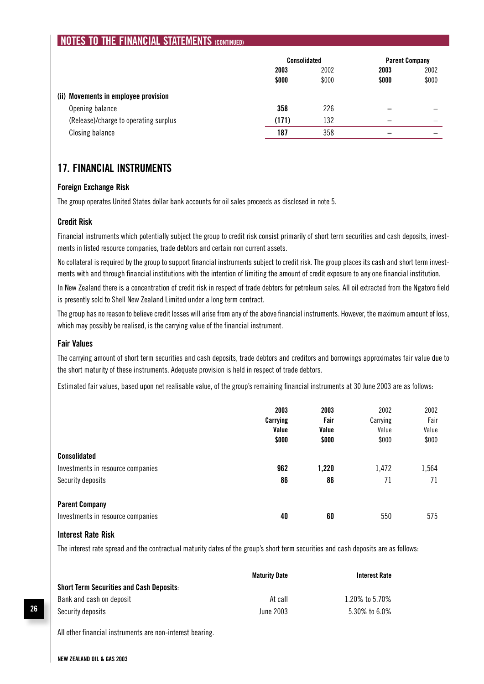|                                                | <b>Consolidated</b> |       | <b>Parent Company</b> |       |
|------------------------------------------------|---------------------|-------|-----------------------|-------|
|                                                | 2003                | 2002  | 2003                  | 2002  |
|                                                | \$000               | \$000 | \$000                 | \$000 |
| <b>Movements in employee provision</b><br>(ii) |                     |       |                       |       |
| Opening balance                                | 358                 | 226   | -                     |       |
| (Release)/charge to operating surplus          | (171)               | 132   |                       | -     |
| Closing balance                                | 187                 | 358   | -                     |       |

### **17. FINANCIAL INSTRUMENTS**

#### **Foreign Exchange Risk**

The group operates United States dollar bank accounts for oil sales proceeds as disclosed in note 5.

### **Credit Risk**

Financial instruments which potentially subject the group to credit risk consist primarily of short term securities and cash deposits, investments in listed resource companies, trade debtors and certain non current assets.

No collateral is required by the group to support financial instruments subject to credit risk. The group places its cash and short term investments with and through financial institutions with the intention of limiting the amount of credit exposure to any one financial institution.

In New Zealand there is a concentration of credit risk in respect of trade debtors for petroleum sales. All oil extracted from the Ngatoro field is presently sold to Shell New Zealand Limited under a long term contract.

The group has no reason to believe credit losses will arise from any of the above financial instruments. However, the maximum amount of loss, which may possibly be realised, is the carrying value of the financial instrument.

#### **Fair Values**

The carrying amount of short term securities and cash deposits, trade debtors and creditors and borrowings approximates fair value due to the short maturity of these instruments. Adequate provision is held in respect of trade debtors.

Estimated fair values, based upon net realisable value, of the group's remaining financial instruments at 30 June 2003 are as follows:

|                                                                               | 2003<br>Carrying<br>Value<br>\$000 | 2003<br>Fair<br>Value<br>\$000 | 2002<br>Carrying<br>Value<br>\$000 | 2002<br>Fair<br>Value<br>\$000 |
|-------------------------------------------------------------------------------|------------------------------------|--------------------------------|------------------------------------|--------------------------------|
| <b>Consolidated</b><br>Investments in resource companies<br>Security deposits | 962<br>86                          | 1,220<br>86                    | 1,472<br>71                        | 1,564<br>71                    |
| <b>Parent Company</b><br>Investments in resource companies                    | 40                                 | 60                             | 550                                | 575                            |

#### **Interest Rate Risk**

The interest rate spread and the contractual maturity dates of the group's short term securities and cash deposits are as follows:

|                                                 | <b>Maturity Date</b> | <b>Interest Rate</b> |
|-------------------------------------------------|----------------------|----------------------|
| <b>Short Term Securities and Cash Deposits:</b> |                      |                      |
| Bank and cash on deposit                        | At call              | 1.20% to 5.70%       |
| Security deposits                               | June 2003            | 5.30% to 6.0%        |

All other financial instruments are non-interest bearing.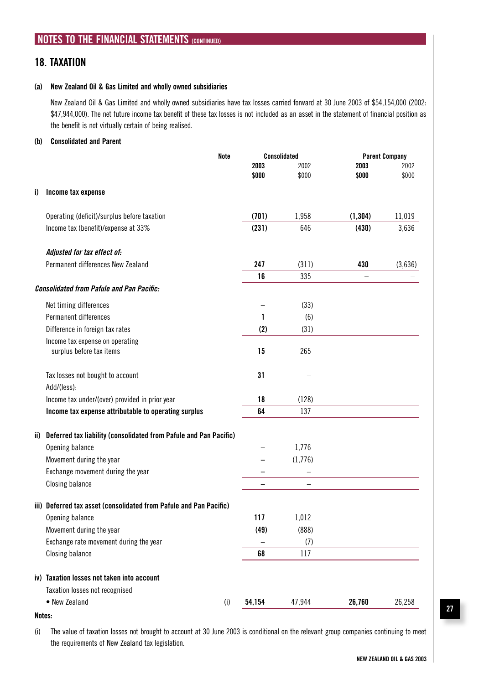### **18. TAXATION**

#### **(a) New Zealand Oil & Gas Limited and wholly owned subsidiaries**

 New Zealand Oil & Gas Limited and wholly owned subsidiaries have tax losses carried forward at 30 June 2003 of \$54,154,000 (2002: \$47,944,000). The net future income tax benefit of these tax losses is not included as an asset in the statement of financial position as the benefit is not virtually certain of being realised.

#### **(b) Consolidated and Parent**

|    | Note                                                                  |        | <b>Consolidated</b> | <b>Parent Company</b> |         |
|----|-----------------------------------------------------------------------|--------|---------------------|-----------------------|---------|
|    |                                                                       | 2003   | 2002                | 2003                  | 2002    |
|    |                                                                       | \$000  | \$000               | \$000                 | \$000   |
| i) | Income tax expense                                                    |        |                     |                       |         |
|    | Operating (deficit)/surplus before taxation                           | (701)  | 1,958               | (1, 304)              | 11,019  |
|    | Income tax (benefit)/expense at 33%                                   | (231)  | 646                 | (430)                 | 3,636   |
|    | Adjusted for tax effect of:                                           |        |                     |                       |         |
|    | Permanent differences New Zealand                                     | 247    | (311)               | 430                   | (3,636) |
|    |                                                                       | 16     | 335                 |                       |         |
|    | <b>Consolidated from Pafule and Pan Pacific:</b>                      |        |                     |                       |         |
|    | Net timing differences                                                |        | (33)                |                       |         |
|    | Permanent differences                                                 | 1      | (6)                 |                       |         |
|    | Difference in foreign tax rates                                       | (2)    | (31)                |                       |         |
|    | Income tax expense on operating<br>surplus before tax items           | 15     | 265                 |                       |         |
|    | Tax losses not bought to account<br>Add/(less):                       | 31     |                     |                       |         |
|    | Income tax under/(over) provided in prior year                        | 18     | (128)               |                       |         |
|    | Income tax expense attributable to operating surplus                  | 64     | 137                 |                       |         |
|    | ii) Deferred tax liability (consolidated from Pafule and Pan Pacific) |        |                     |                       |         |
|    | Opening balance                                                       |        | 1,776               |                       |         |
|    | Movement during the year                                              |        | (1,776)             |                       |         |
|    | Exchange movement during the year                                     |        |                     |                       |         |
|    | <b>Closing balance</b>                                                |        |                     |                       |         |
|    | iii) Deferred tax asset (consolidated from Pafule and Pan Pacific)    |        |                     |                       |         |
|    | Opening balance                                                       | 117    | 1,012               |                       |         |
|    | Movement during the year                                              | (49)   | (888)               |                       |         |
|    | Exchange rate movement during the year                                |        | (7)                 |                       |         |
|    | <b>Closing balance</b>                                                | 68     | 117                 |                       |         |
|    | iv) Taxation losses not taken into account                            |        |                     |                       |         |
|    | Taxation losses not recognised                                        |        |                     |                       |         |
|    | • New Zealand<br>(i)                                                  | 54,154 | 47,944              | 26,760                | 26,258  |

#### **Notes:**

(i) The value of taxation losses not brought to account at 30 June 2003 is conditional on the relevant group companies continuing to meet the requirements of New Zealand tax legislation.

**27**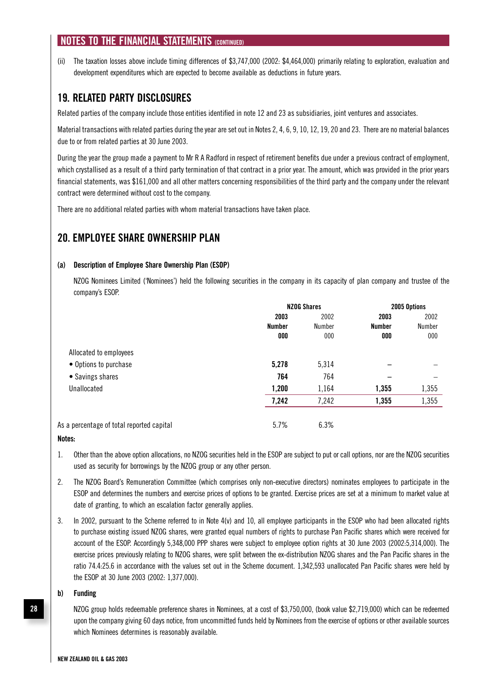(ii) The taxation losses above include timing differences of \$3,747,000 (2002: \$4,464,000) primarily relating to exploration, evaluation and development expenditures which are expected to become available as deductions in future years.

### **19. RELATED PARTY DISCLOSURES**

Related parties of the company include those entities identified in note 12 and 23 as subsidiaries, joint ventures and associates.

Material transactions with related parties during the year are set out in Notes 2, 4, 6, 9, 10, 12, 19, 20 and 23. There are no material balances due to or from related parties at 30 June 2003.

During the year the group made a payment to Mr R A Radford in respect of retirement benefits due under a previous contract of employment, which crystallised as a result of a third party termination of that contract in a prior year. The amount, which was provided in the prior years financial statements, was \$161,000 and all other matters concerning responsibilities of the third party and the company under the relevant contract were determined without cost to the company.

There are no additional related parties with whom material transactions have taken place.

### **20. EMPLOYEE SHARE OWNERSHIP PLAN**

#### **(a) Description of Employee Share Ownership Plan (ESOP)**

 NZOG Nominees Limited ('Nominees') held the following securities in the company in its capacity of plan company and trustee of the company's ESOP.

|                                           | <b>NZOG Shares</b> |        | 2005 Options  |                  |  |
|-------------------------------------------|--------------------|--------|---------------|------------------|--|
|                                           | 2003               | 2002   | 2003          | 2002             |  |
|                                           | <b>Number</b>      | Number | <b>Number</b> | Number           |  |
|                                           | 000                | 000    | 000           | 000 <sub>o</sub> |  |
| Allocated to employees                    |                    |        |               |                  |  |
| • Options to purchase                     | 5,278              | 5,314  |               |                  |  |
| • Savings shares                          | 764                | 764    |               |                  |  |
| Unallocated                               | 1,200              | 1,164  | 1,355         | 1,355            |  |
|                                           | 7,242              | 7,242  | 1,355         | 1,355            |  |
|                                           |                    |        |               |                  |  |
| As a percentage of total reported capital | 5.7%               | 6.3%   |               |                  |  |

#### **Notes:**

- 1. Other than the above option allocations, no NZOG securities held in the ESOP are subject to put or call options, nor are the NZOG securities used as security for borrowings by the NZOG group or any other person.
- 2. The NZOG Board's Remuneration Committee (which comprises only non-executive directors) nominates employees to participate in the ESOP and determines the numbers and exercise prices of options to be granted. Exercise prices are set at a minimum to market value at date of granting, to which an escalation factor generally applies.
- 3. In 2002, pursuant to the Scheme referred to in Note 4(v) and 10, all employee participants in the ESOP who had been allocated rights to purchase existing issued NZOG shares, were granted equal numbers of rights to purchase Pan Pacific shares which were received for account of the ESOP. Accordingly 5,348,000 PPP shares were subject to employee option rights at 30 June 2003 (2002:5,314,000). The exercise prices previously relating to NZOG shares, were split between the ex-distribution NZOG shares and the Pan Pacific shares in the ratio 74.4:25.6 in accordance with the values set out in the Scheme document. 1,342,593 unallocated Pan Pacific shares were held by the ESOP at 30 June 2003 (2002: 1,377,000).

#### **b) Funding**

 NZOG group holds redeemable preference shares in Nominees, at a cost of \$3,750,000, (book value \$2,719,000) which can be redeemed upon the company giving 60 days notice, from uncommitted funds held by Nominees from the exercise of options or other available sources which Nominees determines is reasonably available.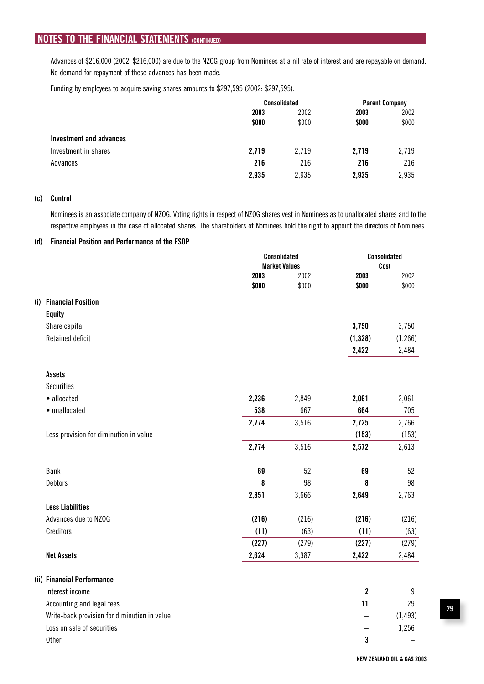Advances of \$216,000 (2002: \$216,000) are due to the NZOG group from Nominees at a nil rate of interest and are repayable on demand. No demand for repayment of these advances has been made.

Funding by employees to acquire saving shares amounts to \$297,595 (2002: \$297,595).

|                         |       | Consolidated |       | <b>Parent Company</b> |
|-------------------------|-------|--------------|-------|-----------------------|
|                         | 2003  | 2002         | 2003  | 2002                  |
|                         | \$000 | \$000        | \$000 | \$000                 |
| Investment and advances |       |              |       |                       |
| Investment in shares    | 2,719 | 2,719        | 2,719 | 2,719                 |
| Advances                | 216   | 216          | 216   | 216                   |
|                         | 2,935 | 2,935        | 2,935 | 2,935                 |

#### **(c) Control**

 Nominees is an associate company of NZOG. Voting rights in respect of NZOG shares vest in Nominees as to unallocated shares and to the respective employees in the case of allocated shares. The shareholders of Nominees hold the right to appoint the directors of Nominees.

#### **(d) Financial Position and Performance of the ESOP**

|                                              |       | Consolidated<br><b>Market Values</b> |             | <b>Consolidated</b><br>Cost |
|----------------------------------------------|-------|--------------------------------------|-------------|-----------------------------|
|                                              | 2003  | 2002                                 | 2003        | 2002                        |
|                                              | \$000 | \$000                                | \$000       | \$000                       |
| (i) Financial Position                       |       |                                      |             |                             |
| <b>Equity</b>                                |       |                                      |             |                             |
| Share capital                                |       |                                      | 3,750       | 3,750                       |
| Retained deficit                             |       |                                      | (1, 328)    | (1,266)                     |
|                                              |       |                                      | 2,422       | 2,484                       |
| <b>Assets</b>                                |       |                                      |             |                             |
| <b>Securities</b>                            |       |                                      |             |                             |
| · allocated                                  | 2,236 | 2,849                                | 2,061       | 2,061                       |
| · unallocated                                | 538   | 667                                  | 664         | 705                         |
|                                              | 2,774 | 3,516                                | 2,725       | 2,766                       |
| Less provision for diminution in value       |       |                                      | (153)       | (153)                       |
|                                              | 2,774 | 3,516                                | 2,572       | 2,613                       |
| Bank                                         | 69    | 52                                   | 69          | 52                          |
| <b>Debtors</b>                               | 8     | 98                                   | 8           | 98                          |
|                                              | 2,851 | 3,666                                | 2,649       | 2,763                       |
| <b>Less Liabilities</b>                      |       |                                      |             |                             |
| Advances due to NZOG                         | (216) | (216)                                | (216)       | (216)                       |
| Creditors                                    | (11)  | (63)                                 | (11)        | (63)                        |
|                                              | (227) | (279)                                | (227)       | (279)                       |
| <b>Net Assets</b>                            | 2,624 | 3,387                                | 2,422       | 2,484                       |
| (ii) Financial Performance                   |       |                                      |             |                             |
| Interest income                              |       |                                      | $\mathbf 2$ | 9                           |
| Accounting and legal fees                    |       |                                      | 11          | 29                          |
| Write-back provision for diminution in value |       |                                      |             | (1, 493)                    |
| Loss on sale of securities                   |       |                                      |             | 1,256                       |
| <b>Other</b>                                 |       |                                      | 3           |                             |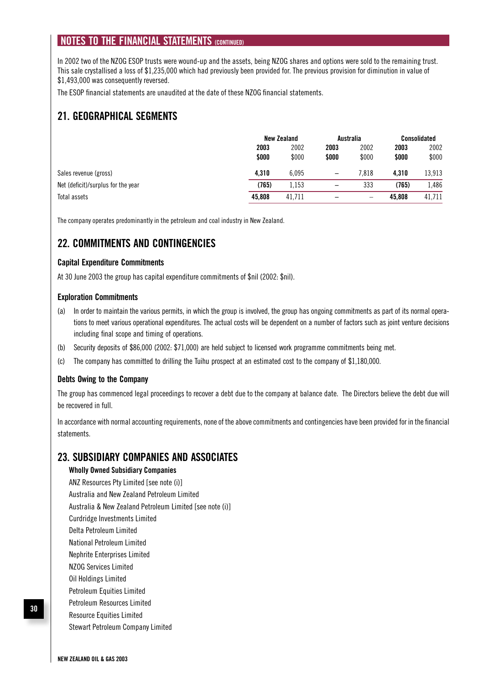In 2002 two of the NZOG ESOP trusts were wound-up and the assets, being NZOG shares and options were sold to the remaining trust. This sale crystallised a loss of \$1,235,000 which had previously been provided for. The previous provision for diminution in value of \$1,493,000 was consequently reversed.

The ESOP financial statements are unaudited at the date of these NZOG financial statements.

### **21. GEOGRAPHICAL SEGMENTS**

|                                    | New Zealand |        |       | Australia |        | Consolidated |  |
|------------------------------------|-------------|--------|-------|-----------|--------|--------------|--|
|                                    | 2003        | 2002   | 2003  | 2002      | 2003   | 2002         |  |
|                                    | \$000       | \$000  | \$000 | \$000     | \$000  | \$000        |  |
| Sales revenue (gross)              | 4.310       | 6.095  | -     | 7.818     | 4.310  | 13,913       |  |
| Net (deficit)/surplus for the year | (765)       | 1.153  |       | 333       | (765)  | 486,         |  |
| Total assets                       | 45.808      | 41.711 |       |           | 45.808 | 41,711       |  |

The company operates predominantly in the petroleum and coal industry in New Zealand.

### **22. COMMITMENTS AND CONTINGENCIES**

### **Capital Expenditure Commitments**

At 30 June 2003 the group has capital expenditure commitments of \$nil (2002: \$nil).

#### **Exploration Commitments**

- (a) In order to maintain the various permits, in which the group is involved, the group has ongoing commitments as part of its normal operations to meet various operational expenditures. The actual costs will be dependent on a number of factors such as joint venture decisions including final scope and timing of operations.
- (b) Security deposits of \$86,000 (2002: \$71,000) are held subject to licensed work programme commitments being met.
- (c) The company has committed to drilling the Tuihu prospect at an estimated cost to the company of \$1,180,000.

#### **Debts Owing to the Company**

The group has commenced legal proceedings to recover a debt due to the company at balance date. The Directors believe the debt due will be recovered in full.

In accordance with normal accounting requirements, none of the above commitments and contingencies have been provided for in the financial statements.

### **23. SUBSIDIARY COMPANIES AND ASSOCIATES**

#### **Wholly Owned Subsidiary Companies**

 ANZ Resources Pty Limited [see note (i)] Australia and New Zealand Petroleum Limited Australia & New Zealand Petroleum Limited [see note (i)] Curdridge Investments Limited Delta Petroleum Limited National Petroleum Limited Nephrite Enterprises Limited NZOG Services Limited Oil Holdings Limited Petroleum Equities Limited Petroleum Resources Limited Resource Equities Limited

Stewart Petroleum Company Limited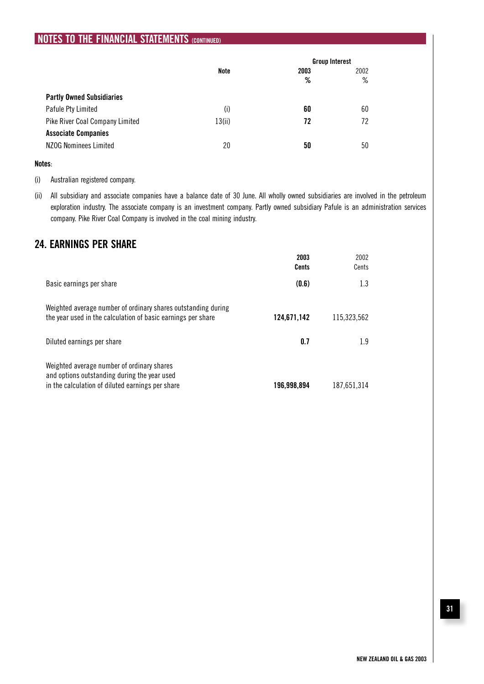|                                  |        | <b>Group Interest</b> |      |
|----------------------------------|--------|-----------------------|------|
|                                  | Note   | 2003                  | 2002 |
|                                  |        | %                     | %    |
| <b>Partly Owned Subsidiaries</b> |        |                       |      |
| Pafule Pty Limited               | (i)    | 60                    | 60   |
| Pike River Coal Company Limited  | 13(ii) | 72                    | 72   |
| <b>Associate Companies</b>       |        |                       |      |
| <b>NZOG Nominees Limited</b>     | 20     | 50                    | 50   |

#### **Notes**:

(i) Australian registered company.

(ii) All subsidiary and associate companies have a balance date of 30 June. All wholly owned subsidiaries are involved in the petroleum exploration industry. The associate company is an investment company. Partly owned subsidiary Pafule is an administration services company. Pike River Coal Company is involved in the coal mining industry.

### **24. EARNINGS PER SHARE**

| 2003<br>Cents | 2002<br>Cents |
|---------------|---------------|
| (0.6)         | 1.3           |
| 124.671.142   | 115.323.562   |
| 0.7           | 1.9           |
| 196.998.894   | 187.651.314   |
|               |               |

### **31**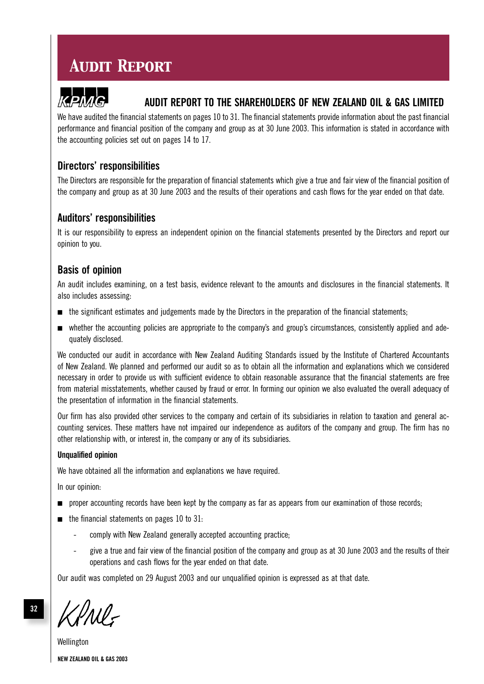## *Audit Report*



### **AUDIT REPORT TO THE SHAREHOLDERS OF NEW ZEALAND OIL & GAS LIMITED**

We have audited the financial statements on pages 10 to 31. The financial statements provide information about the past financial performance and financial position of the company and group as at 30 June 2003. This information is stated in accordance with the accounting policies set out on pages 14 to 17.

### **Directors' responsibilities**

The Directors are responsible for the preparation of financial statements which give a true and fair view of the financial position of the company and group as at 30 June 2003 and the results of their operations and cash flows for the year ended on that date.

### **Auditors' responsibilities**

It is our responsibility to express an independent opinion on the financial statements presented by the Directors and report our opinion to you.

### **Basis of opinion**

An audit includes examining, on a test basis, evidence relevant to the amounts and disclosures in the financial statements. It also includes assessing:

- the significant estimates and judgements made by the Directors in the preparation of the financial statements;
- whether the accounting policies are appropriate to the company's and group's circumstances, consistently applied and adequately disclosed.

We conducted our audit in accordance with New Zealand Auditing Standards issued by the Institute of Chartered Accountants of New Zealand. We planned and performed our audit so as to obtain all the information and explanations which we considered necessary in order to provide us with sufficient evidence to obtain reasonable assurance that the financial statements are free from material misstatements, whether caused by fraud or error. In forming our opinion we also evaluated the overall adequacy of the presentation of information in the financial statements.

Our firm has also provided other services to the company and certain of its subsidiaries in relation to taxation and general accounting services. These matters have not impaired our independence as auditors of the company and group. The firm has no other relationship with, or interest in, the company or any of its subsidiaries.

### **Unqualified opinion**

We have obtained all the information and explanations we have required.

In our opinion:

- proper accounting records have been kept by the company as far as appears from our examination of those records;
- the financial statements on pages 10 to 31:
	- comply with New Zealand generally accepted accounting practice;
	- give a true and fair view of the financial position of the company and group as at 30 June 2003 and the results of their operations and cash flows for the year ended on that date.

Our audit was completed on 29 August 2003 and our unqualified opinion is expressed as at that date.

I'Ml-

**NEW ZEALAND OIL & GAS 2003** Wellington

**32**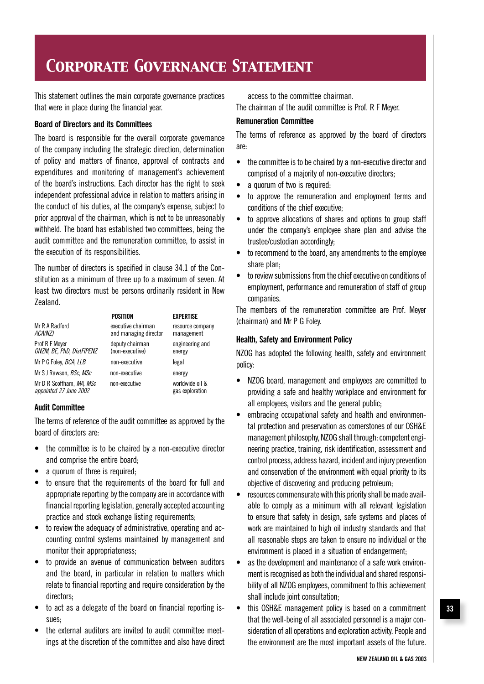## *Corporate Governance Statement*

This statement outlines the main corporate governance practices that were in place during the financial year.

#### **Board of Directors and its Committees**

The board is responsible for the overall corporate governance of the company including the strategic direction, determination of policy and matters of finance, approval of contracts and expenditures and monitoring of management's achievement of the board's instructions. Each director has the right to seek independent professional advice in relation to matters arising in the conduct of his duties, at the company's expense, subject to prior approval of the chairman, which is not to be unreasonably withheld. The board has established two committees, being the audit committee and the remuneration committee, to assist in the execution of its responsibilities.

The number of directors is specified in clause 34.1 of the Constitution as a minimum of three up to a maximum of seven. At least two directors must be persons ordinarily resident in New Zealand.

|                                                    | POSITION                                    | <b>EXPERTISE</b>                   |
|----------------------------------------------------|---------------------------------------------|------------------------------------|
| Mr R A Radford<br>ACA(NZ)                          | executive chairman<br>and managing director | resource company<br>management     |
| Prof R F Meyer<br>ONZM, BE, PhD, DistFIPENZ        | deputy chairman<br>(non-executive)          | engineering and<br>energy          |
| Mr P G Foley, BCA, LLB                             | non-executive                               | legal                              |
| Mr S J Rawson, <i>BSc, MSc</i>                     | non-executive                               | energy                             |
| Mr D R Scoffham, MA, MSc<br>appointed 27 June 2002 | non-executive                               | worldwide oil &<br>gas exploration |

### **Audit Committee**

The terms of reference of the audit committee as approved by the board of directors are:

- the committee is to be chaired by a non-executive director and comprise the entire board;
- a quorum of three is required;
- to ensure that the requirements of the board for full and appropriate reporting by the company are in accordance with financial reporting legislation, generally accepted accounting practice and stock exchange listing requirements;
- to review the adequacy of administrative, operating and accounting control systems maintained by management and monitor their appropriateness;
- to provide an avenue of communication between auditors and the board, in particular in relation to matters which relate to financial reporting and require consideration by the directors;
- to act as a delegate of the board on financial reporting issues;
- the external auditors are invited to audit committee meetings at the discretion of the committee and also have direct

access to the committee chairman.

The chairman of the audit committee is Prof. R F Meyer.

### **Remuneration Committee**

The terms of reference as approved by the board of directors are:

- the committee is to be chaired by a non-executive director and comprised of a majority of non-executive directors;
- a quorum of two is required;
- to approve the remuneration and employment terms and conditions of the chief executive;
- to approve allocations of shares and options to group staff under the company's employee share plan and advise the trustee/custodian accordingly;
- to recommend to the board, any amendments to the employee share plan:
- to review submissions from the chief executive on conditions of employment, performance and remuneration of staff of group companies.

The members of the remuneration committee are Prof. Meyer (chairman) and Mr P G Foley.

### **Health, Safety and Environment Policy**

NZOG has adopted the following health, safety and environment policy:

- NZOG board, management and employees are committed to providing a safe and healthy workplace and environment for all employees, visitors and the general public;
- embracing occupational safety and health and environmental protection and preservation as cornerstones of our OSH&E management philosophy, NZOG shall through: competent engineering practice, training, risk identification, assessment and control process, address hazard, incident and injury prevention and conservation of the environment with equal priority to its objective of discovering and producing petroleum;
- resources commensurate with this priority shall be made available to comply as a minimum with all relevant legislation to ensure that safety in design, safe systems and places of work are maintained to high oil industry standards and that all reasonable steps are taken to ensure no individual or the environment is placed in a situation of endangerment;
- as the development and maintenance of a safe work environment is recognised as both the individual and shared responsibility of all NZOG employees, commitment to this achievement shall include joint consultation;
- this OSH&E management policy is based on a commitment that the well-being of all associated personnel is a major consideration of all operations and exploration activity. People and the environment are the most important assets of the future.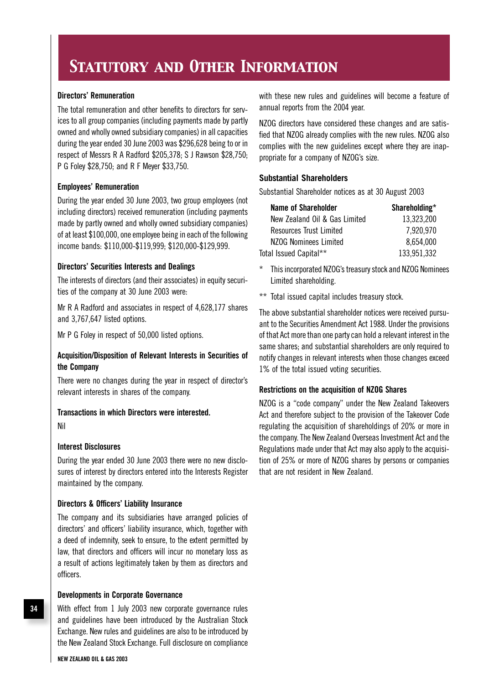## *Statutory and Other Information*

### **Directors' Remuneration**

The total remuneration and other benefits to directors for services to all group companies (including payments made by partly owned and wholly owned subsidiary companies) in all capacities during the year ended 30 June 2003 was \$296,628 being to or in respect of Messrs R A Radford \$205,378; S J Rawson \$28,750; P G Foley \$28,750; and R F Meyer \$33,750.

### **Employees' Remuneration**

During the year ended 30 June 2003, two group employees (not including directors) received remuneration (including payments made by partly owned and wholly owned subsidiary companies) of at least \$100,000, one employee being in each of the following income bands: \$110,000-\$119,999; \$120,000-\$129,999.

### **Directors' Securities Interests and Dealings**

The interests of directors (and their associates) in equity securities of the company at 30 June 2003 were:

Mr R A Radford and associates in respect of 4,628,177 shares and 3,767,647 listed options.

Mr P G Foley in respect of 50,000 listed options.

### **Acquisition/Disposition of Relevant Interests in Securities of the Company**

There were no changes during the year in respect of director's relevant interests in shares of the company.

#### **Transactions in which Directors were interested.**

Nil

### **Interest Disclosures**

During the year ended 30 June 2003 there were no new disclosures of interest by directors entered into the Interests Register maintained by the company.

### **Directors & Officers' Liability Insurance**

The company and its subsidiaries have arranged policies of directors' and officers' liability insurance, which, together with a deed of indemnity, seek to ensure, to the extent permitted by law, that directors and officers will incur no monetary loss as a result of actions legitimately taken by them as directors and officers.

#### **Developments in Corporate Governance**

With effect from 1 July 2003 new corporate governance rules and guidelines have been introduced by the Australian Stock Exchange. New rules and guidelines are also to be introduced by the New Zealand Stock Exchange. Full disclosure on compliance

with these new rules and guidelines will become a feature of annual reports from the 2004 year.

NZOG directors have considered these changes and are satisfied that NZOG already complies with the new rules. NZOG also complies with the new guidelines except where they are inappropriate for a company of NZOG's size.

### **Substantial Shareholders**

Substantial Shareholder notices as at 30 August 2003

| Name of Shareholder           | Shareholding* |
|-------------------------------|---------------|
| New Zealand Oil & Gas Limited | 13,323,200    |
| Resources Trust Limited       | 7,920,970     |
| NZOG Nominees Limited         | 8,654,000     |
| Total Issued Capital**        | 133,951,332   |

- This incorporated NZOG's treasury stock and NZOG Nominees Limited shareholding.
- \*\* Total issued capital includes treasury stock.

The above substantial shareholder notices were received pursuant to the Securities Amendment Act 1988. Under the provisions of that Act more than one party can hold a relevant interest in the same shares; and substantial shareholders are only required to notify changes in relevant interests when those changes exceed 1% of the total issued voting securities.

### **Restrictions on the acquisition of NZOG Shares**

NZOG is a "code company" under the New Zealand Takeovers Act and therefore subject to the provision of the Takeover Code regulating the acquisition of shareholdings of 20% or more in the company. The New Zealand Overseas Investment Act and the Regulations made under that Act may also apply to the acquisition of 25% or more of NZOG shares by persons or companies that are not resident in New Zealand.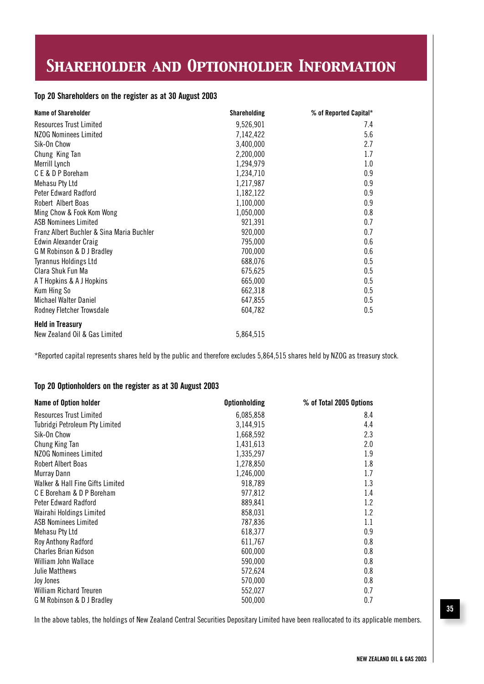## *Shareholder and Optionholder Information*

### **Top 20 Shareholders on the register as at 30 August 2003**

| <b>Name of Shareholder</b>                | <b>Shareholding</b> | % of Reported Capital* |
|-------------------------------------------|---------------------|------------------------|
| <b>Resources Trust Limited</b>            | 9,526,901           | 7.4                    |
| <b>NZOG Nominees Limited</b>              | 7,142,422           | 5.6                    |
| Sik-On Chow                               | 3,400,000           | 2.7                    |
| Chung King Tan                            | 2,200,000           | 1.7                    |
| Merrill Lynch                             | 1,294,979           | 1.0                    |
| CE & DP Boreham                           | 1,234,710           | 0.9                    |
| Mehasu Pty Ltd                            | 1,217,987           | 0.9                    |
| <b>Peter Edward Radford</b>               | 1,182,122           | 0.9                    |
| Robert Albert Boas                        | 1,100,000           | 0.9                    |
| Ming Chow & Fook Kom Wong                 | 1,050,000           | 0.8                    |
| <b>ASB Nominees Limited</b>               | 921,391             | 0.7                    |
| Franz Albert Buchler & Sina Maria Buchler | 920,000             | 0.7                    |
| <b>Edwin Alexander Craig</b>              | 795,000             | 0.6                    |
| G M Robinson & D J Bradley                | 700,000             | 0.6                    |
| <b>Tyrannus Holdings Ltd</b>              | 688,076             | 0.5                    |
| Clara Shuk Fun Ma                         | 675,625             | 0.5                    |
| A T Hopkins & A J Hopkins                 | 665,000             | 0.5                    |
| Kum Hing So                               | 662,318             | 0.5                    |
| <b>Michael Walter Daniel</b>              | 647,855             | 0.5                    |
| Rodney Fletcher Trowsdale                 | 604,782             | 0.5                    |
| <b>Held in Treasury</b>                   |                     |                        |
| New Zealand Oil & Gas Limited             | 5,864,515           |                        |

\*Reported capital represents shares held by the public and therefore excludes 5,864,515 shares held by NZOG as treasury stock.

#### **Top 20 Optionholders on the register as at 30 August 2003**

| Name of Option holder            | <b>Optionholding</b> | % of Total 2005 Options |
|----------------------------------|----------------------|-------------------------|
| Resources Trust Limited          | 6,085,858            | 8.4                     |
| Tubridgi Petroleum Pty Limited   | 3,144,915            | 4.4                     |
| Sik-On Chow                      | 1,668,592            | 2.3                     |
| Chung King Tan                   | 1,431,613            | 2.0                     |
| NZOG Nominees Limited            | 1,335,297            | 1.9                     |
| <b>Robert Albert Boas</b>        | 1,278,850            | 1.8                     |
| Murray Dann                      | 1,246,000            | 1.7                     |
| Walker & Hall Fine Gifts Limited | 918,789              | 1.3                     |
| C E Boreham & D P Boreham        | 977,812              | 1.4                     |
| Peter Edward Radford             | 889,841              | 1.2                     |
| Wairahi Holdings Limited         | 858,031              | 1.2                     |
| ASB Nominees Limited             | 787,836              | 1.1                     |
| Mehasu Pty Ltd                   | 618,377              | 0.9                     |
| Roy Anthony Radford              | 611,767              | 0.8                     |
| <b>Charles Brian Kidson</b>      | 600,000              | 0.8                     |
| William John Wallace             | 590,000              | 0.8                     |
| <b>Julie Matthews</b>            | 572,624              | 0.8                     |
| Joy Jones                        | 570,000              | 0.8                     |
| <b>William Richard Treuren</b>   | 552,027              | 0.7                     |
| G M Robinson & D J Bradley       | 500,000              | 0.7                     |

In the above tables, the holdings of New Zealand Central Securities Depositary Limited have been reallocated to its applicable members.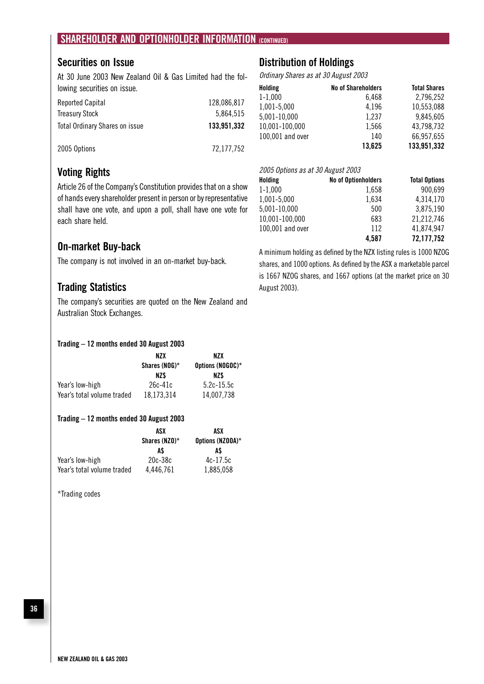### **SHAREHOLDER AND OPTIONHOLDER INFORMATION (CONTINUED)**

### **Securities on Issue**

At 30 June 2003 New Zealand Oil & Gas Limited had the following securities on issue.

| <b>Reported Capital</b>               | 128,086,817 |
|---------------------------------------|-------------|
| <b>Treasury Stock</b>                 | 5.864.515   |
| <b>Total Ordinary Shares on issue</b> | 133,951,332 |
|                                       |             |
| 2005 Options                          | 72,177,752  |

### **Voting Rights**

Article 26 of the Company's Constitution provides that on a show of hands every shareholder present in person or by representative shall have one vote, and upon a poll, shall have one vote for each share held.

### **On-market Buy-back**

The company is not involved in an on-market buy-back.

### **Trading Statistics**

The company's securities are quoted on the New Zealand and Australian Stock Exchanges.

### **Trading – 12 months ended 30 August 2003**

|                            | NZX<br>Shares (NOG)* | NZX<br>Options (NOGOC)* |
|----------------------------|----------------------|-------------------------|
|                            |                      |                         |
|                            | NZ\$                 | NZ\$                    |
| Year's low-high            | $26c-41c$            | $5.2c - 15.5c$          |
| Year's total volume traded | 18,173,314           | 14.007.738              |

#### **Trading – 12 months ended 30 August 2003**

|                            | ASX<br>Shares (NZO)*<br>A\$ | ASX<br>Options (NZOOA)*<br>AS |
|----------------------------|-----------------------------|-------------------------------|
|                            |                             |                               |
|                            |                             |                               |
| Year's low-high            | $20c-38c$                   | $4c-17.5c$                    |
| Year's total volume traded | 4,446,761                   | 1,885,058                     |

\*Trading codes

### **Distribution of Holdings**

Ordinary Shares as at 30 August 2003

| Holding          | <b>No of Shareholders</b> | <b>Total Shares</b> |
|------------------|---------------------------|---------------------|
| $1 - 1,000$      | 6,468                     | 2,796,252           |
| 1,001-5,000      | 4,196                     | 10,553,088          |
| 5,001-10,000     | 1,237                     | 9,845,605           |
| 10,001-100,000   | 1,566                     | 43,798,732          |
| 100,001 and over | 140                       | 66,957,655          |
|                  | 13.625                    | 133,951,332         |

### 2005 Options as at 30 August 2003

| Holding          | <b>No of Optionholders</b> | <b>Total Options</b> |
|------------------|----------------------------|----------------------|
| $1 - 1,000$      | 1,658                      | 900,699              |
| 1,001-5,000      | 1.634                      | 4,314,170            |
| 5,001-10,000     | 500                        | 3,875,190            |
| 10,001-100,000   | 683                        | 21,212,746           |
| 100,001 and over | 112                        | 41,874,947           |
|                  | 4.587                      | 72,177,752           |

A minimum holding as defined by the NZX listing rules is 1000 NZOG shares, and 1000 options. As defined by the ASX a marketable parcel is 1667 NZOG shares, and 1667 options (at the market price on 30 August 2003).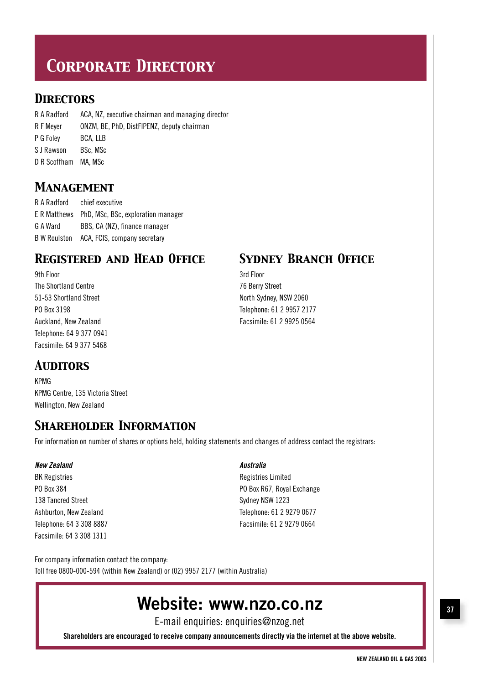# *Corporate Directory*

### *Directors*

R A Radford ACA, NZ, executive chairman and managing director R F Meyer ONZM, BE, PhD, DistFIPENZ, deputy chairman P G Foley BCA, LLB S J Rawson BSc, MSc D R Scoffham MA, MSc

### *Management*

R A Radford chief executive E R Matthews PhD, MSc, BSc, exploration manager G A Ward BBS, CA (NZ), finance manager B W Roulston ACA, FCIS, company secretary

### *REGISTERED AND HEAD OFFICE SYDNEY BRANCH OFFICE*

9th Floor 3rd Floor The Shortland Centre 76 Berry Street 51-53 Shortland Street **North Sydney, NSW 2060** Telephone: 64 9 377 0941 Facsimile: 64 9 377 5468

PO Box 3198 Telephone: 61 2 9957 2177 Auckland, New Zealand Facsimile: 61 2 9925 0564

### *Auditors*

KPMG KPMG Centre, 135 Victoria Street Wellington, New Zealand

## *Shareholder Information*

For information on number of shares or options held, holding statements and changes of address contact the registrars:

### **New Zealand Australia**

BK Registries Limited 138 Tancred Street Street Sydney NSW 1223 Telephone: 64 3 308 8887 Facsimile: 61 2 9279 0664 Facsimile: 64 3 308 1311

PO Box 384 PO Box R67, Royal Exchange Ashburton, New Zealand Telephone: 61 2 9279 0677

For company information contact the company: Toll free 0800-000-594 (within New Zealand) or (02) 9957 2177 (within Australia)

## **Website: www.nzo.co.nz 37**

E-mail enquiries: enquiries@nzog.net

**Shareholders are encouraged to receive company announcements directly via the internet at the above website.**